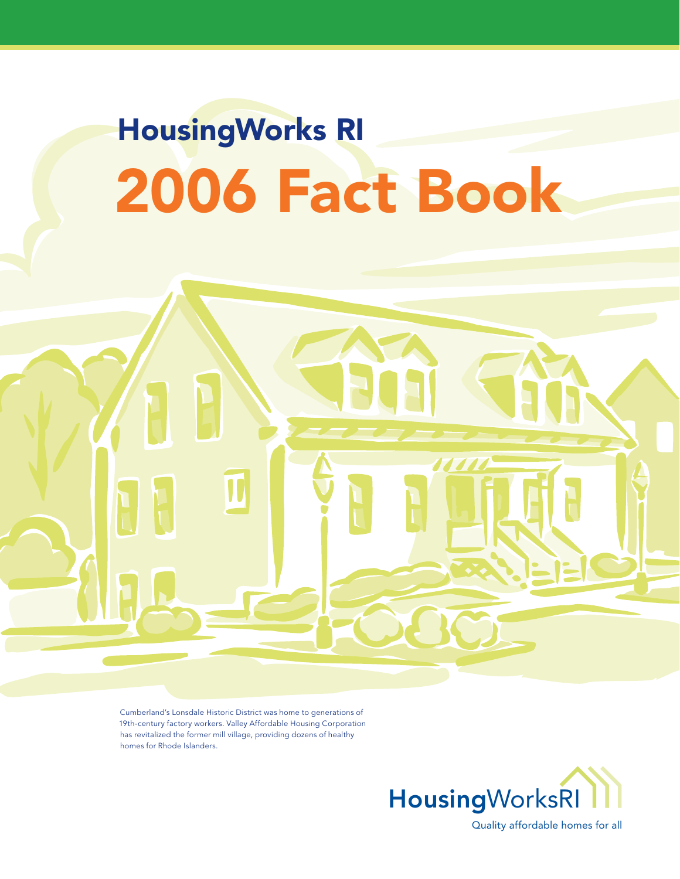# HousingWorks RI 2006 Fact Book

Cumberland's Lonsdale Historic District was home to generations of 19th-century factory workers. Valley Affordable Housing Corporation has revitalized the former mill village, providing dozens of healthy homes for Rhode Islanders.



Quality affordable homes for all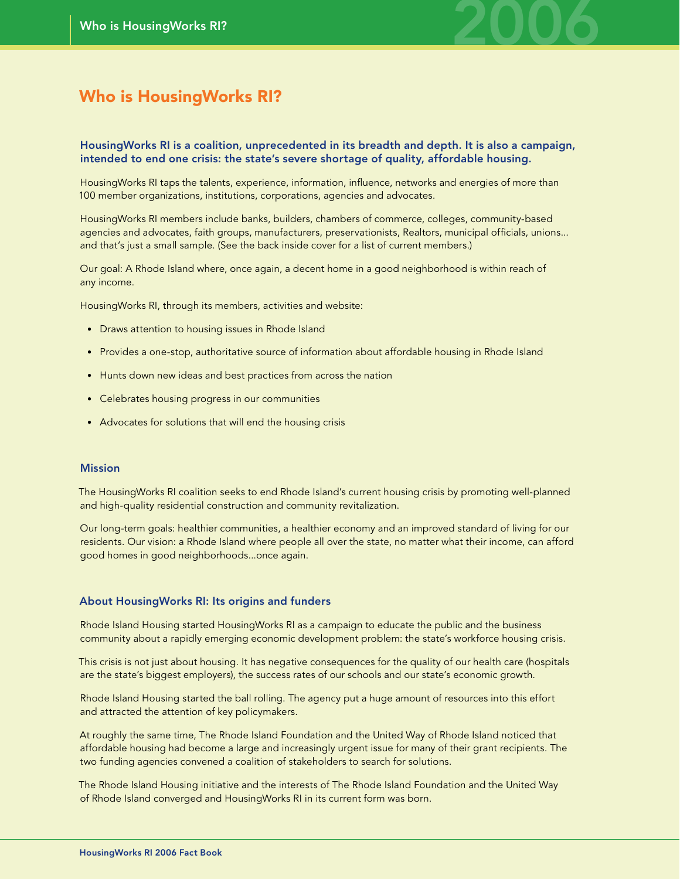

### Who is HousingWorks RI?

#### HousingWorks RI is a coalition, unprecedented in its breadth and depth. It is also a campaign, intended to end one crisis: the state's severe shortage of quality, affordable housing.

HousingWorks RI taps the talents, experience, information, influence, networks and energies of more than 100 member organizations, institutions, corporations, agencies and advocates.

HousingWorks RI members include banks, builders, chambers of commerce, colleges, community-based agencies and advocates, faith groups, manufacturers, preservationists, Realtors, municipal officials, unions... and that's just a small sample. (See the back inside cover for a list of current members.)

Our goal: A Rhode Island where, once again, a decent home in a good neighborhood is within reach of any income.

HousingWorks RI, through its members, activities and website:

- Draws attention to housing issues in Rhode Island
- Provides a one-stop, authoritative source of information about affordable housing in Rhode Island
- Hunts down new ideas and best practices from across the nation
- Celebrates housing progress in our communities
- Advocates for solutions that will end the housing crisis

#### Mission

The HousingWorks RI coalition seeks to end Rhode Island's current housing crisis by promoting well-planned and high-quality residential construction and community revitalization.

Our long-term goals: healthier communities, a healthier economy and an improved standard of living for our residents. Our vision: a Rhode Island where people all over the state, no matter what their income, can afford good homes in good neighborhoods...once again.

#### About HousingWorks RI: Its origins and funders

Rhode Island Housing started HousingWorks RI as a campaign to educate the public and the business community about a rapidly emerging economic development problem: the state's workforce housing crisis.

This crisis is not just about housing. It has negative consequences for the quality of our health care (hospitals are the state's biggest employers), the success rates of our schools and our state's economic growth.

Rhode Island Housing started the ball rolling. The agency put a huge amount of resources into this effort and attracted the attention of key policymakers.

At roughly the same time, The Rhode Island Foundation and the United Way of Rhode Island noticed that affordable housing had become a large and increasingly urgent issue for many of their grant recipients. The two funding agencies convened a coalition of stakeholders to search for solutions.

The Rhode Island Housing initiative and the interests of The Rhode Island Foundation and the United Way of Rhode Island converged and HousingWorks RI in its current form was born.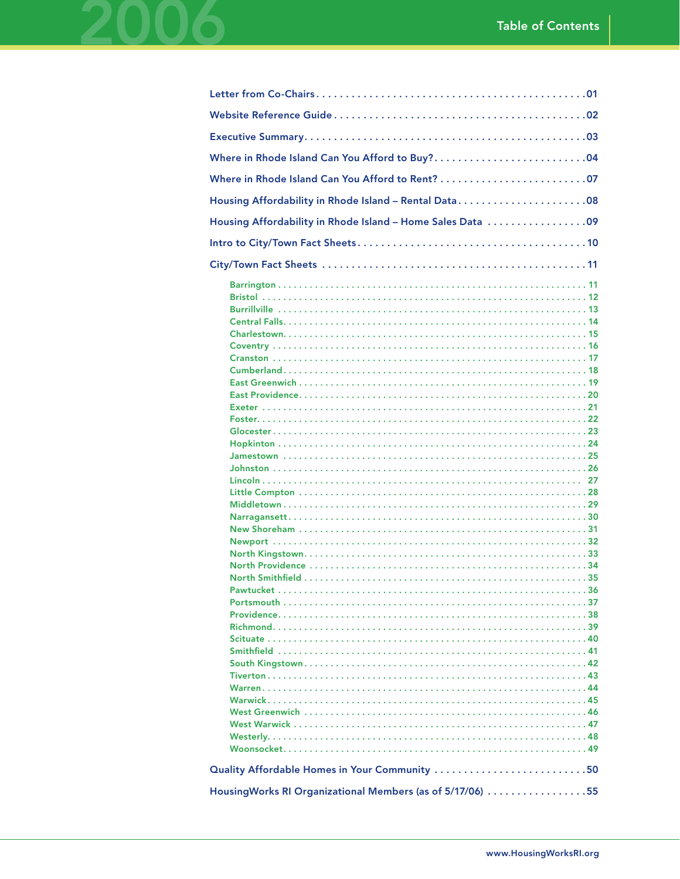| Housing Affordability in Rhode Island - Rental Data08                                                      |
|------------------------------------------------------------------------------------------------------------|
| Housing Affordability in Rhode Island - Home Sales Data 09                                                 |
|                                                                                                            |
|                                                                                                            |
|                                                                                                            |
| Quality Affordable Homes in Your Community 50<br>HousingWorks RI Organizational Members (as of 5/17/06) 55 |
|                                                                                                            |

2006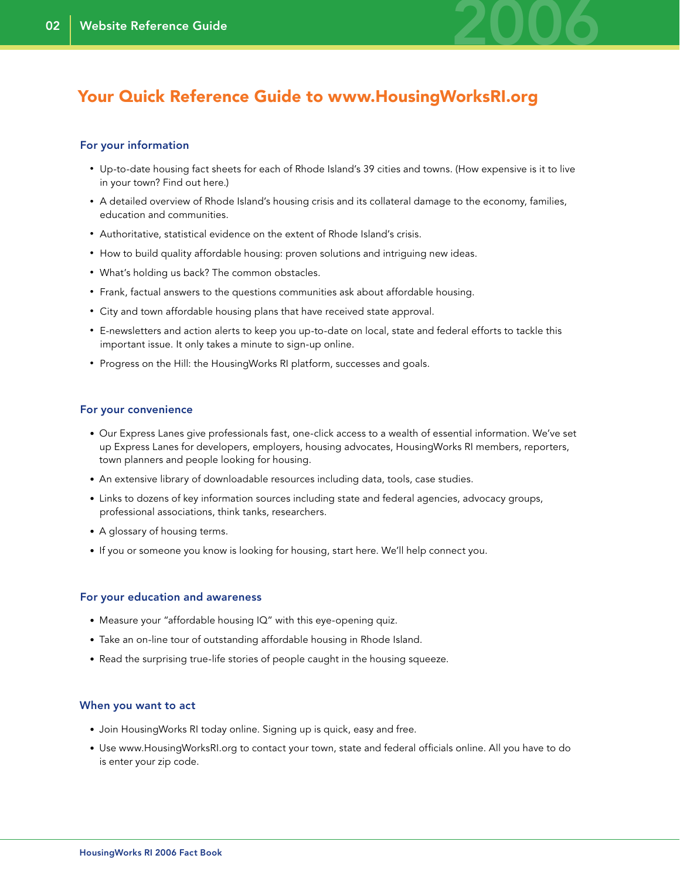

### Your Quick Reference Guide to www.HousingWorksRI.org

#### For your information

- Up-to-date housing fact sheets for each of Rhode Island's 39 cities and towns. (How expensive is it to live in your town? Find out here.)
- A detailed overview of Rhode Island's housing crisis and its collateral damage to the economy, families, education and communities.
- Authoritative, statistical evidence on the extent of Rhode Island's crisis.
- How to build quality affordable housing: proven solutions and intriguing new ideas.
- What's holding us back? The common obstacles.
- Frank, factual answers to the questions communities ask about affordable housing.
- City and town affordable housing plans that have received state approval.
- E-newsletters and action alerts to keep you up-to-date on local, state and federal efforts to tackle this important issue. It only takes a minute to sign-up online.
- Progress on the Hill: the HousingWorks RI platform, successes and goals.

#### For your convenience

- Our Express Lanes give professionals fast, one-click access to a wealth of essential information. We've set up Express Lanes for developers, employers, housing advocates, HousingWorks RI members, reporters, town planners and people looking for housing.
- An extensive library of downloadable resources including data, tools, case studies.
- Links to dozens of key information sources including state and federal agencies, advocacy groups, professional associations, think tanks, researchers.
- A glossary of housing terms.
- If you or someone you know is looking for housing, start here. We'll help connect you.

#### For your education and awareness

- Measure your "affordable housing IQ" with this eye-opening quiz.
- Take an on-line tour of outstanding affordable housing in Rhode Island.
- Read the surprising true-life stories of people caught in the housing squeeze.

#### When you want to act

- Join HousingWorks RI today online. Signing up is quick, easy and free.
- Use www.HousingWorksRI.org to contact your town, state and federal officials online. All you have to do is enter your zip code.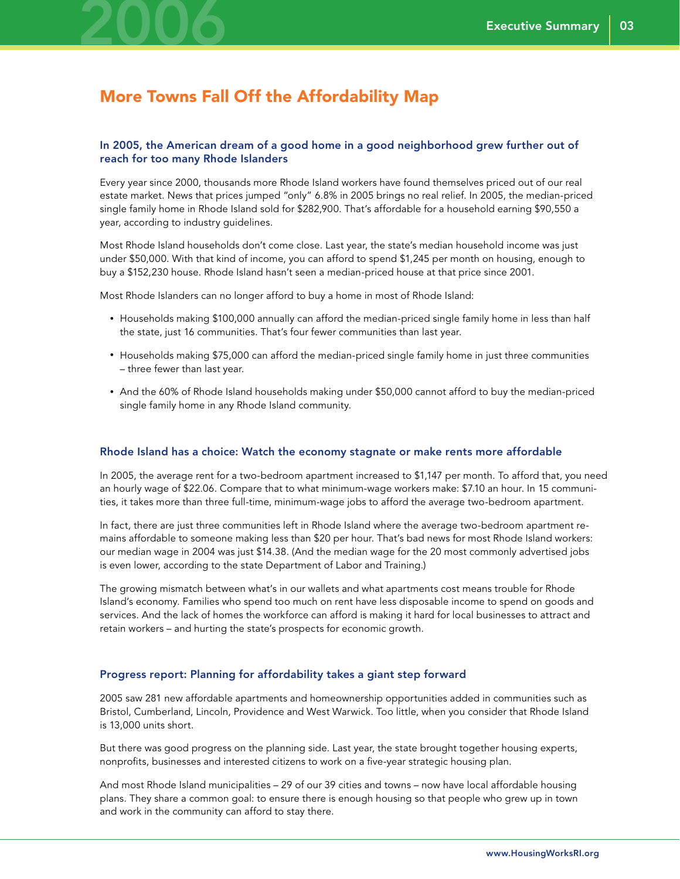

### More Towns Fall Off the Affordability Map

#### In 2005, the American dream of a good home in a good neighborhood grew further out of reach for too many Rhode Islanders

Every year since 2000, thousands more Rhode Island workers have found themselves priced out of our real estate market. News that prices jumped "only" 6.8% in 2005 brings no real relief. In 2005, the median-priced single family home in Rhode Island sold for \$282,900. That's affordable for a household earning \$90,550 a year, according to industry guidelines.

Most Rhode Island households don't come close. Last year, the state's median household income was just under \$50,000. With that kind of income, you can afford to spend \$1,245 per month on housing, enough to buy a \$152,230 house. Rhode Island hasn't seen a median-priced house at that price since 2001.

Most Rhode Islanders can no longer afford to buy a home in most of Rhode Island:

- Households making \$100,000 annually can afford the median-priced single family home in less than half the state, just 16 communities. That's four fewer communities than last year.
- Households making \$75,000 can afford the median-priced single family home in just three communities – three fewer than last year.
- And the 60% of Rhode Island households making under \$50,000 cannot afford to buy the median-priced single family home in any Rhode Island community.

#### Rhode Island has a choice: Watch the economy stagnate or make rents more affordable

In 2005, the average rent for a two-bedroom apartment increased to \$1,147 per month. To afford that, you need an hourly wage of \$22.06. Compare that to what minimum-wage workers make: \$7.10 an hour. In 15 communities, it takes more than three full-time, minimum-wage jobs to afford the average two-bedroom apartment.

In fact, there are just three communities left in Rhode Island where the average two-bedroom apartment remains affordable to someone making less than \$20 per hour. That's bad news for most Rhode Island workers: our median wage in 2004 was just \$14.38. (And the median wage for the 20 most commonly advertised jobs is even lower, according to the state Department of Labor and Training.)

The growing mismatch between what's in our wallets and what apartments cost means trouble for Rhode Island's economy. Families who spend too much on rent have less disposable income to spend on goods and services. And the lack of homes the workforce can afford is making it hard for local businesses to attract and retain workers – and hurting the state's prospects for economic growth.

#### Progress report: Planning for affordability takes a giant step forward

2005 saw 281 new affordable apartments and homeownership opportunities added in communities such as Bristol, Cumberland, Lincoln, Providence and West Warwick. Too little, when you consider that Rhode Island is 13,000 units short.

But there was good progress on the planning side. Last year, the state brought together housing experts, nonprofits, businesses and interested citizens to work on a five-year strategic housing plan.

And most Rhode Island municipalities – 29 of our 39 cities and towns – now have local affordable housing plans. They share a common goal: to ensure there is enough housing so that people who grew up in town and work in the community can afford to stay there.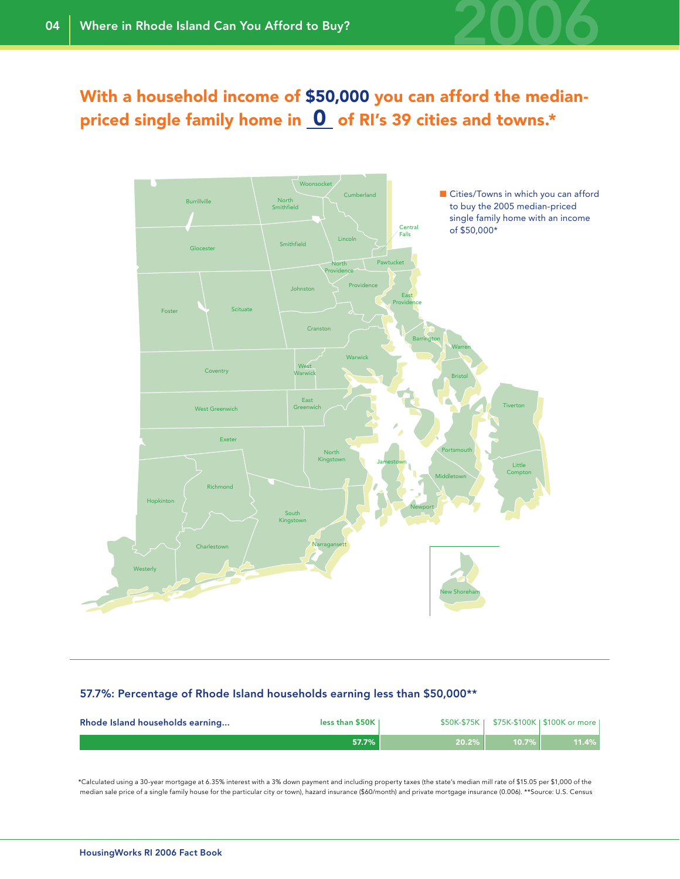

### With a household income of \$50,000 you can afford the medianpriced single family home in  $\Omega$  of RI's 39 cities and towns.\*



#### 57.7%: Percentage of Rhode Island households earning less than \$50,000\*\*

| Rhode Island households earning | less than $$50K$ |       |          | \$50K-\$75K   \$75K-\$100K   \$100K or more |
|---------------------------------|------------------|-------|----------|---------------------------------------------|
|                                 | 57.7%            | 20.2% | $10.7\%$ | 11.4%                                       |

\*Calculated using a 30-year mortgage at 6.35% interest with a 3% down payment and including property taxes (the state's median mill rate of \$15.05 per \$1,000 of the median sale price of a single family house for the particular city or town), hazard insurance (\$60/month) and private mortgage insurance (0.006). \*\*Source: U.S. Census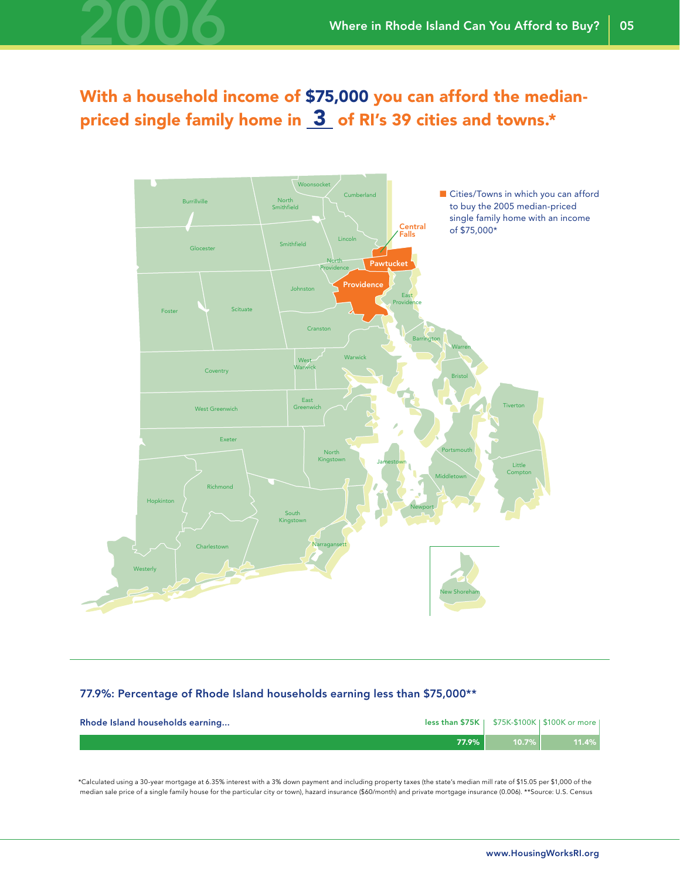## With a household income of \$75,000 you can afford the medianpriced single family home in  $3$  of RI's 39 cities and towns.\*

2006



#### 77.9%: Percentage of Rhode Island households earning less than \$75,000\*\*

| Rhode Island households earning |          |          | less than $$75K$   $$75K-$100K$   $$100K$ or more |
|---------------------------------|----------|----------|---------------------------------------------------|
|                                 | $77.9\%$ | $10.7\%$ | 11.4%                                             |

\*Calculated using a 30-year mortgage at 6.35% interest with a 3% down payment and including property taxes (the state's median mill rate of \$15.05 per \$1,000 of the median sale price of a single family house for the particular city or town), hazard insurance (\$60/month) and private mortgage insurance (0.006). \*\*Source: U.S. Census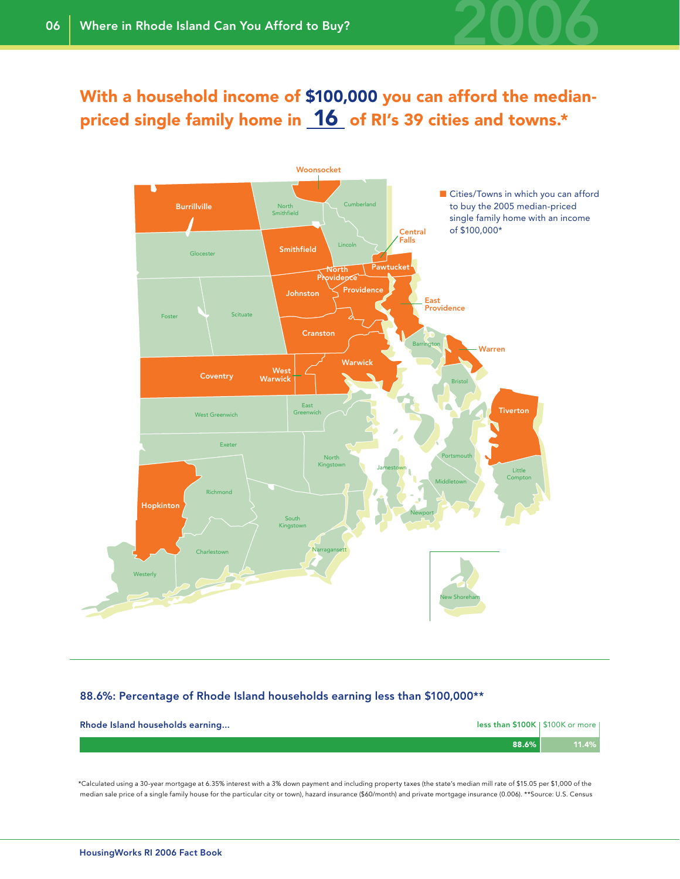

### With a household income of \$100,000 you can afford the medianpriced single family home in **16** of RI's 39 cities and towns.\*



#### 88.6%: Percentage of Rhode Island households earning less than \$100,000\*\*

| less than \$100K   \$100K or more  <br>Rhode Island households earning |       |
|------------------------------------------------------------------------|-------|
| 88.6%                                                                  | 11.4% |

\*Calculated using a 30-year mortgage at 6.35% interest with a 3% down payment and including property taxes (the state's median mill rate of \$15.05 per \$1,000 of the median sale price of a single family house for the particular city or town), hazard insurance (\$60/month) and private mortgage insurance (0.006). \*\*Source: U.S. Census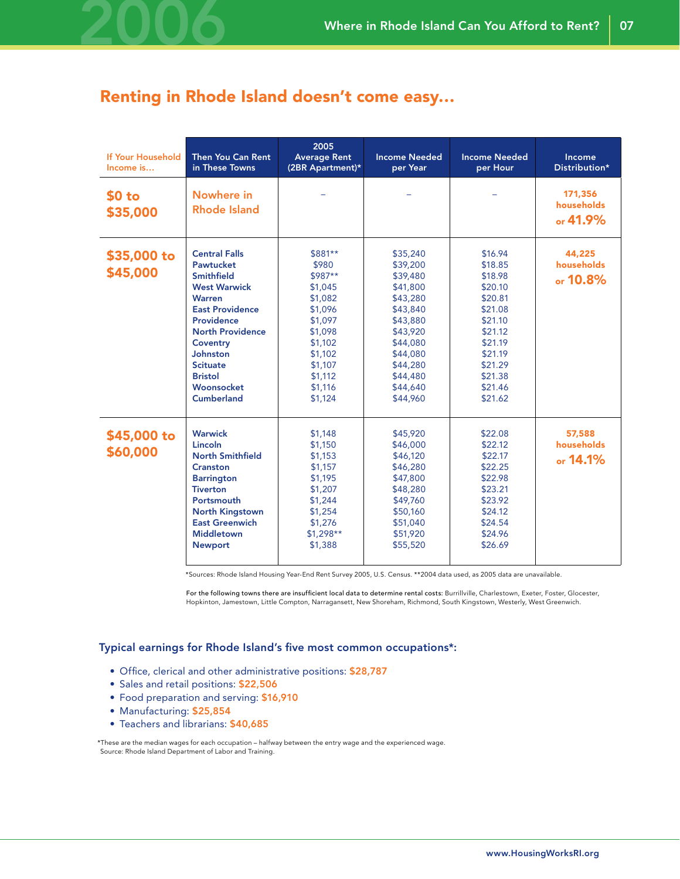

### Renting in Rhode Island doesn't come easy…

| If Your Household<br>Income is | Then You Can Rent<br>in These Towns                                                                                                                                                                                                          | 2005<br><b>Average Rent</b><br>(2BR Apartment)*                                                                                                      | <b>Income Needed</b><br>per Year                                                                                                                                     | <b>Income Needed</b><br>per Hour                                                                                                                       | Income<br>Distribution*            |
|--------------------------------|----------------------------------------------------------------------------------------------------------------------------------------------------------------------------------------------------------------------------------------------|------------------------------------------------------------------------------------------------------------------------------------------------------|----------------------------------------------------------------------------------------------------------------------------------------------------------------------|--------------------------------------------------------------------------------------------------------------------------------------------------------|------------------------------------|
| \$0 to<br>\$35,000             | Nowhere in<br><b>Rhode Island</b>                                                                                                                                                                                                            |                                                                                                                                                      |                                                                                                                                                                      |                                                                                                                                                        | 171,356<br>households<br>or 41.9%  |
| \$35,000 to<br>\$45,000        | <b>Central Falls</b><br>Pawtucket<br>Smithfield<br><b>West Warwick</b><br>Warren<br><b>East Providence</b><br>Providence<br><b>North Providence</b><br>Coventry<br>Johnston<br><b>Scituate</b><br><b>Bristol</b><br>Woonsocket<br>Cumberland | \$881**<br>\$980<br>\$987**<br>\$1,045<br>\$1,082<br>\$1,096<br>\$1,097<br>\$1,098<br>\$1,102<br>\$1,102<br>\$1,107<br>\$1,112<br>\$1,116<br>\$1,124 | \$35,240<br>\$39,200<br>\$39,480<br>\$41,800<br>\$43,280<br>\$43,840<br>\$43,880<br>\$43,920<br>\$44,080<br>\$44,080<br>\$44,280<br>\$44,480<br>\$44,640<br>\$44,960 | \$16.94<br>\$18.85<br>\$18.98<br>\$20.10<br>\$20.81<br>\$21.08<br>\$21.10<br>\$21.12<br>\$21.19<br>\$21.19<br>\$21.29<br>\$21.38<br>\$21.46<br>\$21.62 | 44,225<br>households<br>or 10.8%   |
| \$45,000 to<br>\$60,000        | Warwick<br>Lincoln<br><b>North Smithfield</b><br>Cranston<br><b>Barrington</b><br><b>Tiverton</b><br>Portsmouth<br><b>North Kingstown</b><br><b>East Greenwich</b><br><b>Middletown</b><br><b>Newport</b>                                    | \$1,148<br>\$1,150<br>\$1,153<br>\$1,157<br>\$1,195<br>\$1,207<br>\$1,244<br>\$1,254<br>\$1,276<br>$$1,298**$<br>\$1,388                             | \$45,920<br>\$46,000<br>\$46,120<br>\$46,280<br>\$47,800<br>\$48,280<br>\$49,760<br>\$50,160<br>\$51,040<br>\$51,920<br>\$55,520                                     | \$22.08<br>\$22.12<br>\$22.17<br>\$22.25<br>\$22.98<br>\$23.21<br>\$23.92<br>\$24.12<br>\$24.54<br>\$24.96<br>\$26.69                                  | 57,588<br>households<br>or $14.1%$ |

\*Sources: Rhode Island Housing Year-End Rent Survey 2005, U.S. Census. \*\*2004 data used, as 2005 data are unavailable.

For the following towns there are insufficient local data to determine rental costs: Burrillville, Charlestown, Exeter, Foster, Glocester, Hopkinton, Jamestown, Little Compton, Narragansett, New Shoreham, Richmond, South Kingstown, Westerly, West Greenwich.

Typical earnings for Rhode Island's five most common occupations\*:

- Office, clerical and other administrative positions: \$28,787
- Sales and retail positions: \$22,506
- Food preparation and serving: \$16,910
- Manufacturing: \$25,854
- Teachers and librarians: \$40,685

\*These are the median wages for each occupation – halfway between the entry wage and the experienced wage. Source: Rhode Island Department of Labor and Training.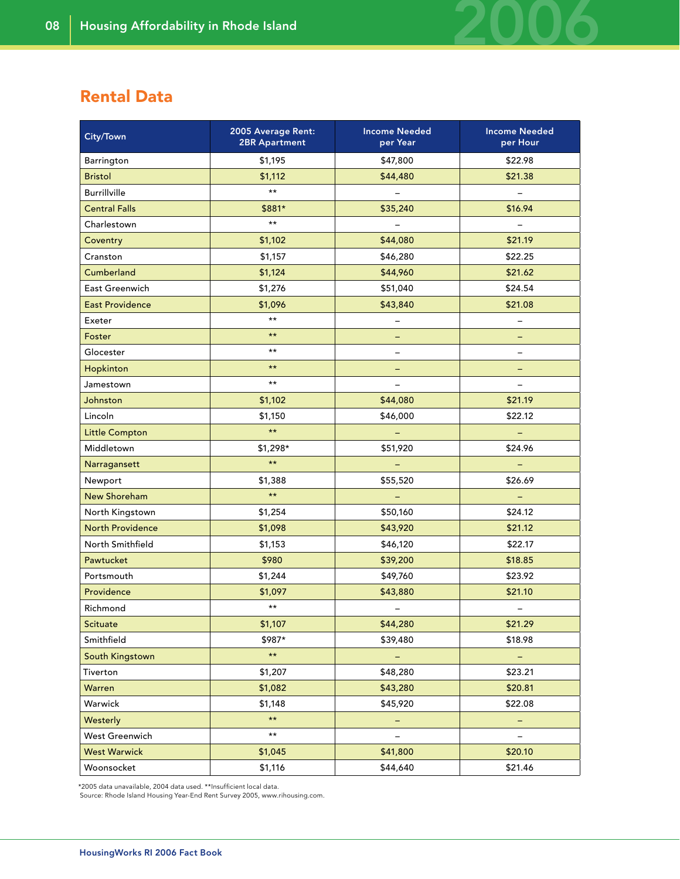### Rental Data

| City/Town               | 2005 Average Rent:<br><b>2BR Apartment</b> | <b>Income Needed</b><br>per Year | <b>Income Needed</b><br>per Hour |
|-------------------------|--------------------------------------------|----------------------------------|----------------------------------|
| Barrington              | \$1,195                                    | \$47,800                         | \$22.98                          |
| <b>Bristol</b>          | \$1,112                                    | \$44,480                         | \$21.38                          |
| <b>Burrillville</b>     | $\star \star$                              |                                  |                                  |
| <b>Central Falls</b>    | \$881*                                     | \$35,240                         | \$16.94                          |
| Charlestown             | $\star$ $\star$                            | $\overline{\phantom{a}}$         | $\equiv$                         |
| Coventry                | \$1,102                                    | \$44,080                         | \$21.19                          |
| Cranston                | \$1,157                                    | \$46,280                         | \$22.25                          |
| Cumberland              | \$1,124                                    | \$44,960                         | \$21.62                          |
| East Greenwich          | \$1,276                                    | \$51,040                         | \$24.54                          |
| <b>East Providence</b>  | \$1,096                                    | \$43,840                         | \$21.08                          |
| Exeter                  | $\star \star$                              | $\qquad \qquad -$                | -                                |
| Foster                  | $\star$ $\star$                            | -                                |                                  |
| Glocester               | $\star$ $\star$                            | -                                |                                  |
| Hopkinton               | $\star \star$                              | ÷                                | -                                |
| Jamestown               | $\star$ $\star$                            |                                  |                                  |
| <b>Johnston</b>         | \$1,102                                    | \$44,080                         | \$21.19                          |
| Lincoln                 | \$1,150                                    | \$46,000                         | \$22.12                          |
| <b>Little Compton</b>   | $\star \star$                              |                                  |                                  |
| Middletown              | \$1,298*                                   | \$51,920                         | \$24.96                          |
| Narragansett            | $\star\,\star$                             | ÷                                | $\blacksquare$                   |
| Newport                 | \$1,388                                    | \$55,520                         | \$26.69                          |
| <b>New Shoreham</b>     | $\star\,\star$                             | $\qquad \qquad -$                |                                  |
| North Kingstown         | \$1,254                                    | \$50,160                         | \$24.12                          |
| <b>North Providence</b> | \$1,098                                    | \$43,920                         | \$21.12                          |
| North Smithfield        | \$1,153                                    | \$46,120                         | \$22.17                          |
| Pawtucket               | \$980                                      | \$39,200                         | \$18.85                          |
| Portsmouth              | \$1,244                                    | \$49,760                         | \$23.92                          |
| Providence              | \$1,097                                    | \$43,880                         | \$21.10                          |
| Richmond                | $\star$ $\star$                            | $\qquad \qquad -$                | $\overline{\phantom{a}}$         |
| Scituate                | \$1,107                                    | \$44,280                         | \$21.29                          |
| Smithfield              | \$987*                                     | \$39,480                         | \$18.98                          |
| South Kingstown         | $\star\,\star$                             | $\equiv$                         | $\equiv$                         |
| Tiverton                | \$1,207                                    | \$48,280                         | \$23.21                          |
| Warren                  | \$1,082                                    | \$43,280                         | \$20.81                          |
| Warwick                 | \$1,148                                    | \$45,920                         | \$22.08                          |
| Westerly                | $\star\,\star$                             | -                                | -                                |
| West Greenwich          | $\star\,\star$                             |                                  |                                  |
| <b>West Warwick</b>     | \$1,045                                    | \$41,800                         | \$20.10                          |
| Woonsocket              | \$1,116                                    | \$44,640                         | \$21.46                          |

\*2005 data unavailable, 2004 data used. \*\*Insufficient local data.

Source: Rhode Island Housing Year-End Rent Survey 2005, www.rihousing.com.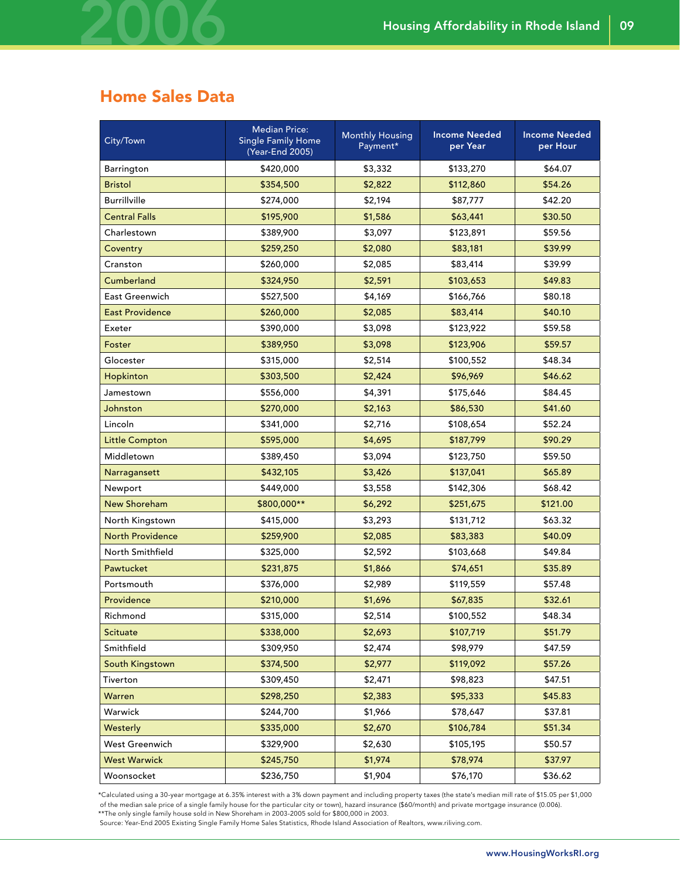### Home Sales Data

2006

| City/Town               | <b>Median Price:</b><br><b>Single Family Home</b><br>(Year-End 2005) | <b>Monthly Housing</b><br>Payment* | <b>Income Needed</b><br>per Year | <b>Income Needed</b><br>per Hour |
|-------------------------|----------------------------------------------------------------------|------------------------------------|----------------------------------|----------------------------------|
| Barrington              | \$420,000                                                            | \$3,332                            | \$133,270                        | \$64.07                          |
| <b>Bristol</b>          | \$354,500                                                            | \$2,822                            | \$112,860                        | \$54.26                          |
| <b>Burrillville</b>     | \$274,000                                                            | \$2,194                            | \$87,777                         | \$42.20                          |
| <b>Central Falls</b>    | \$195,900                                                            | \$1,586                            | \$63,441                         | \$30.50                          |
| Charlestown             | \$389,900                                                            | \$3,097                            | \$123,891                        | \$59.56                          |
| Coventry                | \$259,250                                                            | \$2,080                            | \$83,181                         | \$39.99                          |
| Cranston                | \$260,000                                                            | \$2,085                            | \$83,414                         | \$39.99                          |
| Cumberland              | \$324,950                                                            | \$2,591                            | \$103,653                        | \$49.83                          |
| East Greenwich          | \$527,500                                                            | \$4,169                            | \$166,766                        | \$80.18                          |
| <b>East Providence</b>  | \$260,000                                                            | \$2,085                            | \$83,414                         | \$40.10                          |
| Exeter                  | \$390,000                                                            | \$3,098                            | \$123,922                        | \$59.58                          |
| Foster                  | \$389,950                                                            | \$3,098                            | \$123,906                        | \$59.57                          |
| Glocester               | \$315,000                                                            | \$2,514                            | \$100,552                        | \$48.34                          |
| Hopkinton               | \$303,500                                                            | \$2,424                            | \$96,969                         | \$46.62                          |
| Jamestown               | \$556,000                                                            | \$4,391                            | \$175,646                        | \$84.45                          |
| Johnston                | \$270,000                                                            | \$2,163                            | \$86,530                         | \$41.60                          |
| Lincoln                 | \$341,000                                                            | \$2,716                            | \$108,654                        | \$52.24                          |
| <b>Little Compton</b>   | \$595,000                                                            | \$4,695                            | \$187,799                        | \$90.29                          |
| Middletown              | \$389,450                                                            | \$3,094                            | \$123,750                        | \$59.50                          |
| Narragansett            | \$432,105                                                            | \$3,426                            | \$137,041                        | \$65.89                          |
| Newport                 | \$449,000                                                            | \$3,558                            | \$142,306                        | \$68.42                          |
| <b>New Shoreham</b>     | \$800,000**                                                          | \$6,292                            | \$251,675                        | \$121.00                         |
| North Kingstown         | \$415,000                                                            | \$3,293                            | \$131,712                        | \$63.32                          |
| <b>North Providence</b> | \$259,900                                                            | \$2,085                            | \$83,383                         | \$40.09                          |
| North Smithfield        | \$325,000                                                            | \$2,592                            | \$103,668                        | \$49.84                          |
| Pawtucket               | \$231,875                                                            | \$1,866                            | \$74,651                         | \$35.89                          |
| Portsmouth              | \$376,000                                                            | \$2,989                            | \$119,559                        | \$57.48                          |
| Providence              | \$210,000                                                            | \$1,696                            | \$67,835                         | \$32.61                          |
| Richmond                | \$315,000                                                            | \$2,514                            | \$100,552                        | \$48.34                          |
| <b>Scituate</b>         | \$338,000                                                            | \$2,693                            | \$107,719                        | \$51.79                          |
| Smithfield              | \$309,950                                                            | \$2,474                            | \$98,979                         | \$47.59                          |
| South Kingstown         | \$374,500                                                            | \$2,977                            | \$119,092                        | \$57.26                          |
| Tiverton                | \$309,450                                                            | \$2,471                            | \$98,823                         | \$47.51                          |
| Warren                  | \$298,250                                                            | \$2,383                            | \$95,333                         | \$45.83                          |
| Warwick                 | \$244,700                                                            | \$1,966                            | \$78,647                         | \$37.81                          |
| Westerly                | \$335,000                                                            | \$2,670                            | \$106,784                        | \$51.34                          |
| West Greenwich          | \$329,900                                                            | \$2,630                            | \$105,195                        | \$50.57                          |
| <b>West Warwick</b>     | \$245,750                                                            | \$1,974                            | \$78,974                         | \$37.97                          |
| Woonsocket              | \$236,750                                                            | \$1,904                            | \$76,170                         | \$36.62                          |

\*Calculated using a 30-year mortgage at 6.35% interest with a 3% down payment and including property taxes (the state's median mill rate of \$15.05 per \$1,000 of the median sale price of a single family house for the particular city or town), hazard insurance (\$60/month) and private mortgage insurance (0.006).<br>\*\*The only single family house sold in New Shoreham in 2003-2005 sold

Source: Year-End 2005 Existing Single Family Home Sales Statistics, Rhode Island Association of Realtors, www.riliving.com.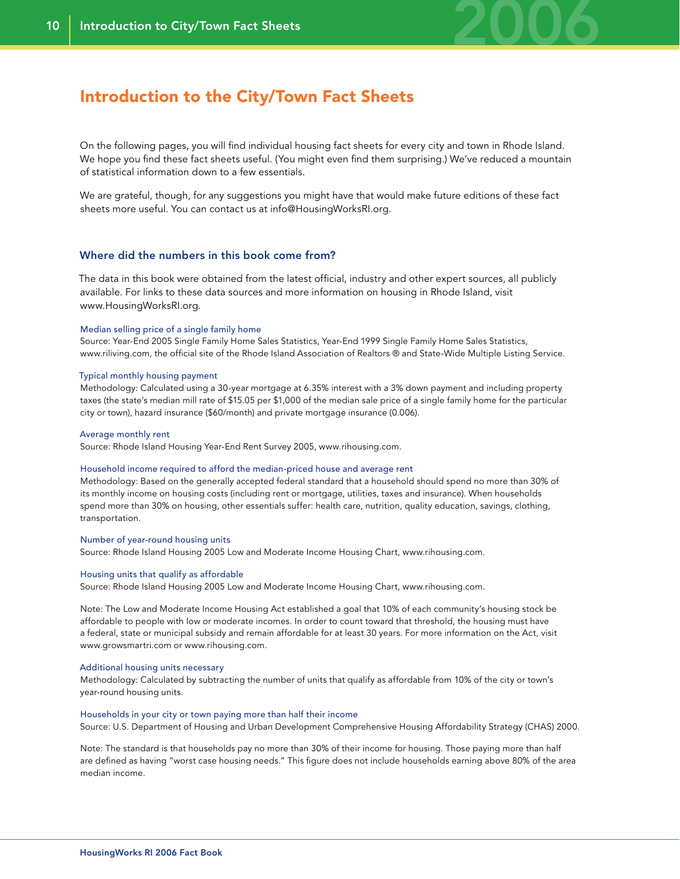

### Introduction to the City/Town Fact Sheets

On the following pages, you will find individual housing fact sheets for every city and town in Rhode Island. We hope you find these fact sheets useful. (You might even find them surprising.) We've reduced a mountain of statistical information down to a few essentials.

We are grateful, though, for any suggestions you might have that would make future editions of these fact sheets more useful. You can contact us at info@HousingWorksRI.org.

#### Where did the numbers in this book come from?

The data in this book were obtained from the latest official, industry and other expert sources, all publicly available. For links to these data sources and more information on housing in Rhode Island, visit www.HousingWorksRI.org.

#### Median selling price of a single family home

Source: Year-End 2005 Single Family Home Sales Statistics, Year-End 1999 Single Family Home Sales Statistics, www.riliving.com, the official site of the Rhode Island Association of Realtors ® and State-Wide Multiple Listing Service.

#### Typical monthly housing payment

Methodology: Calculated using a 30-year mortgage at 6.35% interest with a 3% down payment and including property taxes (the state's median mill rate of \$15.05 per \$1,000 of the median sale price of a single family home for the particular city or town), hazard insurance (\$60/month) and private mortgage insurance (0.006).

#### Average monthly rent

Source: Rhode Island Housing Year-End Rent Survey 2005, www.rihousing.com.

#### Household income required to afford the median-priced house and average rent

Methodology: Based on the generally accepted federal standard that a household should spend no more than 30% of its monthly income on housing costs (including rent or mortgage, utilities, taxes and insurance). When households spend more than 30% on housing, other essentials suffer: health care, nutrition, quality education, savings, clothing, transportation.

#### Number of year-round housing units

Source: Rhode Island Housing 2005 Low and Moderate Income Housing Chart, www.rihousing.com.

#### Housing units that qualify as affordable

Source: Rhode Island Housing 2005 Low and Moderate Income Housing Chart, www.rihousing.com.

Note: The Low and Moderate Income Housing Act established a goal that 10% of each community's housing stock be affordable to people with low or moderate incomes. In order to count toward that threshold, the housing must have a federal, state or municipal subsidy and remain affordable for at least 30 years. For more information on the Act, visit www.growsmartri.com or www.rihousing.com.

#### Additional housing units necessary

Methodology: Calculated by subtracting the number of units that qualify as affordable from 10% of the city or town's year-round housing units.

#### Households in your city or town paying more than half their income

Source: U.S. Department of Housing and Urban Development Comprehensive Housing Affordability Strategy (CHAS) 2000.

Note: The standard is that households pay no more than 30% of their income for housing. Those paying more than half are defined as having "worst case housing needs." This figure does not include households earning above 80% of the area median income.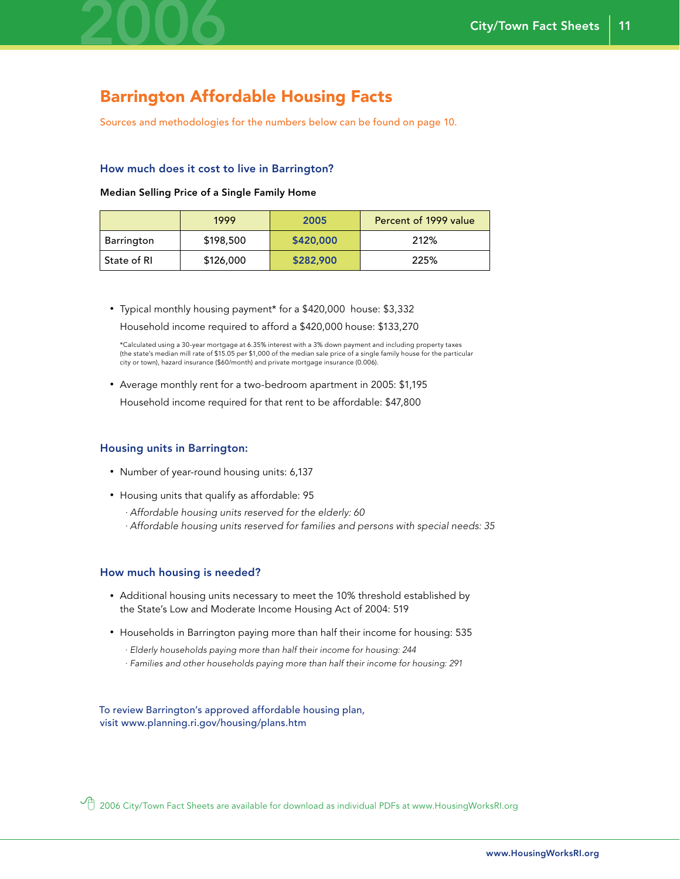

### Barrington Affordable Housing Facts

Sources and methodologies for the numbers below can be found on page 10.

#### How much does it cost to live in Barrington?

Median Selling Price of a Single Family Home

|             | 1999      | 2005      | Percent of 1999 value |
|-------------|-----------|-----------|-----------------------|
| Barrington  | \$198,500 | \$420,000 | 212%                  |
| State of RI | \$126,000 | \$282,900 | 225%                  |

• Typical monthly housing payment\* for a \$420,000 house: \$3,332 Household income required to afford a \$420,000 house: \$133,270

 \*Calculated using a 30-year mortgage at 6.35% interest with a 3% down payment and including property taxes (the state's median mill rate of \$15.05 per \$1,000 of the median sale price of a single family house for the particular city or town), hazard insurance (\$60/month) and private mortgage insurance (0.006).

• Average monthly rent for a two-bedroom apartment in 2005: \$1,195

Household income required for that rent to be affordable: \$47,800

#### Housing units in Barrington:

- Number of year-round housing units: 6,137
- Housing units that qualify as affordable: 95
	- *· Affordable housing units reserved for the elderly: 60*
	- *· Affordable housing units reserved for families and persons with special needs: 35*

#### How much housing is needed?

- Additional housing units necessary to meet the 10% threshold established by the State's Low and Moderate Income Housing Act of 2004: 519
- Households in Barrington paying more than half their income for housing: 535
	- *· Elderly households paying more than half their income for housing: 244*
	- *· Families and other households paying more than half their income for housing: 291*

To review Barrington's approved affordable housing plan, visit www.planning.ri.gov/housing/plans.htm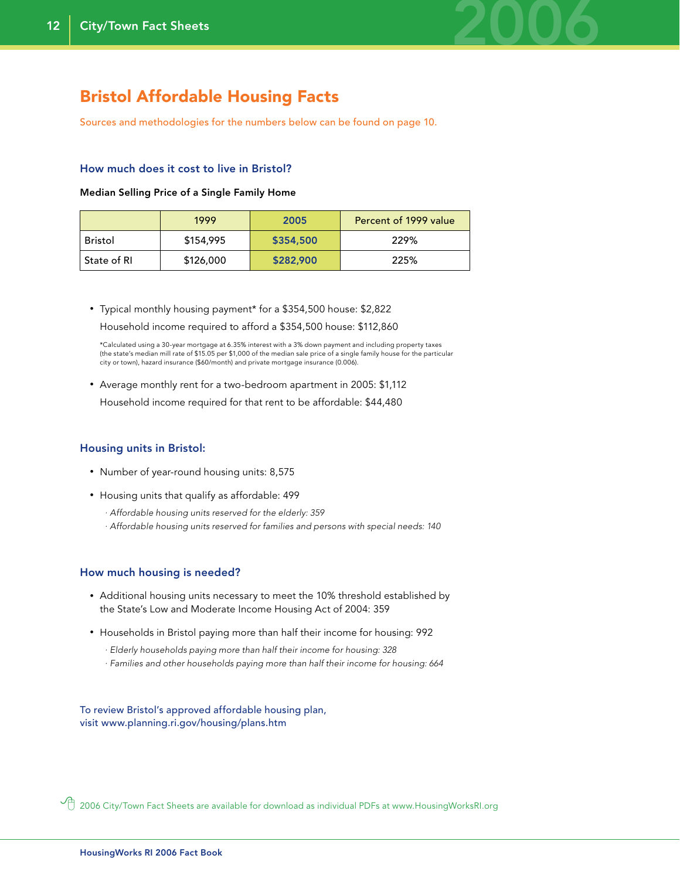

### Bristol Affordable Housing Facts

Sources and methodologies for the numbers below can be found on page 10.

#### How much does it cost to live in Bristol?

#### Median Selling Price of a Single Family Home

|             | 1999      | 2005      | Percent of 1999 value |
|-------------|-----------|-----------|-----------------------|
| Bristol     | \$154,995 | \$354,500 | 229%                  |
| State of RI | \$126,000 | \$282,900 | 225%                  |

• Typical monthly housing payment\* for a \$354,500 house: \$2,822 Household income required to afford a \$354,500 house: \$112,860

 \*Calculated using a 30-year mortgage at 6.35% interest with a 3% down payment and including property taxes (the state's median mill rate of \$15.05 per \$1,000 of the median sale price of a single family house for the particular city or town), hazard insurance (\$60/month) and private mortgage insurance (0.006).

• Average monthly rent for a two-bedroom apartment in 2005: \$1,112 Household income required for that rent to be affordable: \$44,480

#### Housing units in Bristol:

- Number of year-round housing units: 8,575
- Housing units that qualify as affordable: 499
	- *· Affordable housing units reserved for the elderly: 359*
	- *· Affordable housing units reserved for families and persons with special needs: 140*

#### How much housing is needed?

- Additional housing units necessary to meet the 10% threshold established by the State's Low and Moderate Income Housing Act of 2004: 359
- Households in Bristol paying more than half their income for housing: 992
	- *· Elderly households paying more than half their income for housing: 328*
	- *· Families and other households paying more than half their income for housing: 664*

To review Bristol's approved affordable housing plan, visit www.planning.ri.gov/housing/plans.htm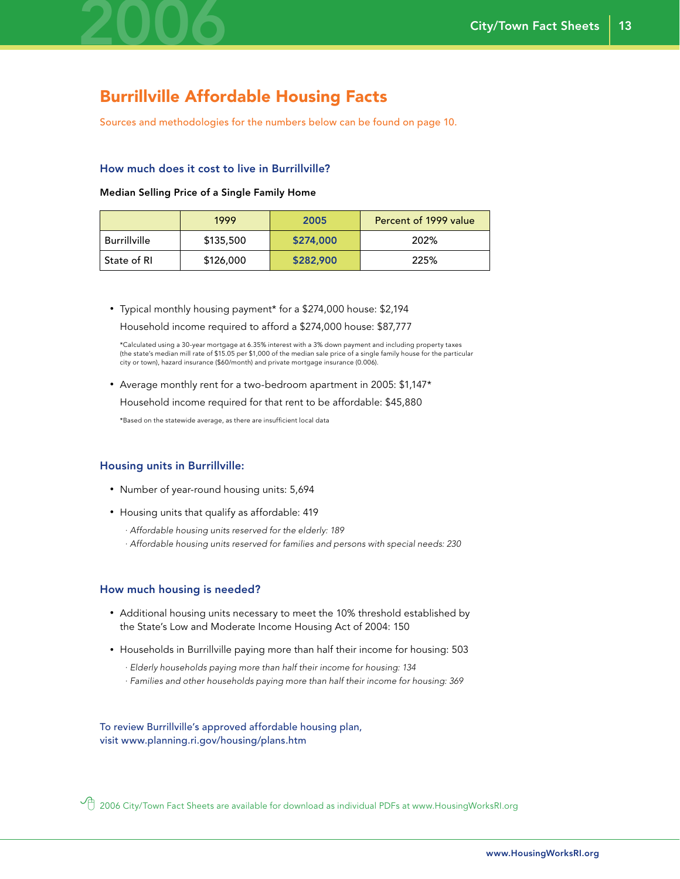

### Burrillville Affordable Housing Facts

Sources and methodologies for the numbers below can be found on page 10.

#### How much does it cost to live in Burrillville?

#### Median Selling Price of a Single Family Home

|              | 1999      | 2005      | Percent of 1999 value |
|--------------|-----------|-----------|-----------------------|
| Burrillville | \$135,500 | \$274,000 | 202%                  |
| State of RI  | \$126,000 | \$282,900 | 225%                  |

• Typical monthly housing payment\* for a \$274,000 house: \$2,194 Household income required to afford a \$274,000 house: \$87,777

 \*Calculated using a 30-year mortgage at 6.35% interest with a 3% down payment and including property taxes (the state's median mill rate of \$15.05 per \$1,000 of the median sale price of a single family house for the particular city or town), hazard insurance (\$60/month) and private mortgage insurance (0.006).

• Average monthly rent for a two-bedroom apartment in 2005: \$1,147\*

Household income required for that rent to be affordable: \$45,880

\*Based on the statewide average, as there are insufficient local data

#### Housing units in Burrillville:

- Number of year-round housing units: 5,694
- Housing units that qualify as affordable: 419
	- *· Affordable housing units reserved for the elderly: 189*
	- *· Affordable housing units reserved for families and persons with special needs: 230*

#### How much housing is needed?

- Additional housing units necessary to meet the 10% threshold established by the State's Low and Moderate Income Housing Act of 2004: 150
- Households in Burrillville paying more than half their income for housing: 503
	- *· Elderly households paying more than half their income for housing: 134*
	- *· Families and other households paying more than half their income for housing: 369*

To review Burrillville's approved affordable housing plan, visit www.planning.ri.gov/housing/plans.htm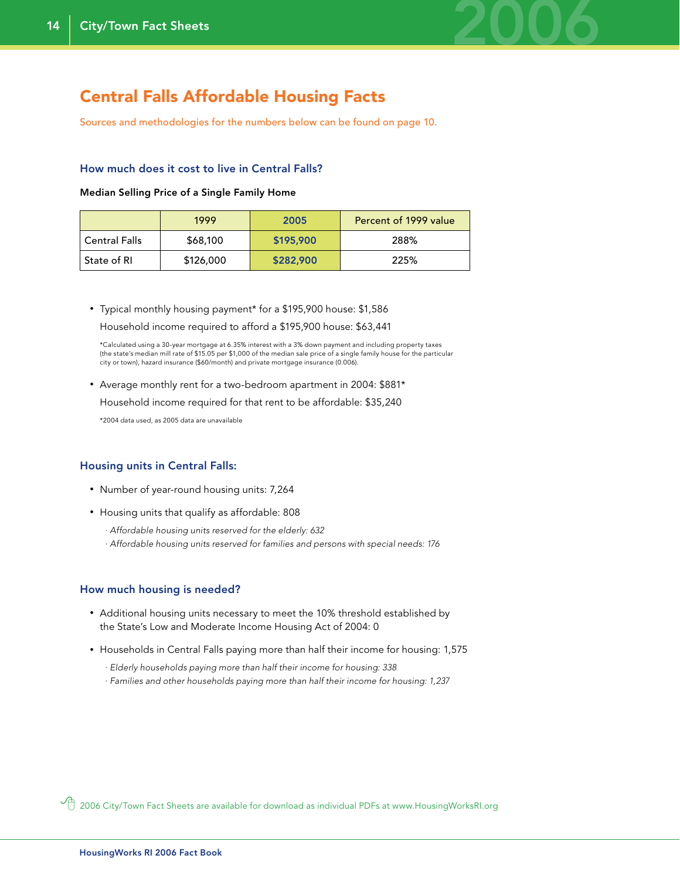

### Central Falls Affordable Housing Facts

Sources and methodologies for the numbers below can be found on page 10.

#### How much does it cost to live in Central Falls?

#### Median Selling Price of a Single Family Home

|               | 1999      | 2005      | Percent of 1999 value |
|---------------|-----------|-----------|-----------------------|
| Central Falls | \$68,100  | \$195,900 | 288%                  |
| State of RI   | \$126,000 | \$282,900 | 225%                  |

• Typical monthly housing payment\* for a \$195,900 house: \$1,586 Household income required to afford a \$195,900 house: \$63,441

 \*Calculated using a 30-year mortgage at 6.35% interest with a 3% down payment and including property taxes (the state's median mill rate of \$15.05 per \$1,000 of the median sale price of a single family house for the particular city or town), hazard insurance (\$60/month) and private mortgage insurance (0.006).

• Average monthly rent for a two-bedroom apartment in 2004: \$881\*

Household income required for that rent to be affordable: \$35,240

\*2004 data used, as 2005 data are unavailable

#### Housing units in Central Falls:

- Number of year-round housing units: 7,264
- Housing units that qualify as affordable: 808
	- *· Affordable housing units reserved for the elderly: 632*
	- *· Affordable housing units reserved for families and persons with special needs: 176*

#### How much housing is needed?

- Additional housing units necessary to meet the 10% threshold established by the State's Low and Moderate Income Housing Act of 2004: 0
- Households in Central Falls paying more than half their income for housing: 1,575
	- *· Elderly households paying more than half their income for housing: 338*
	- *· Families and other households paying more than half their income for housing: 1,237*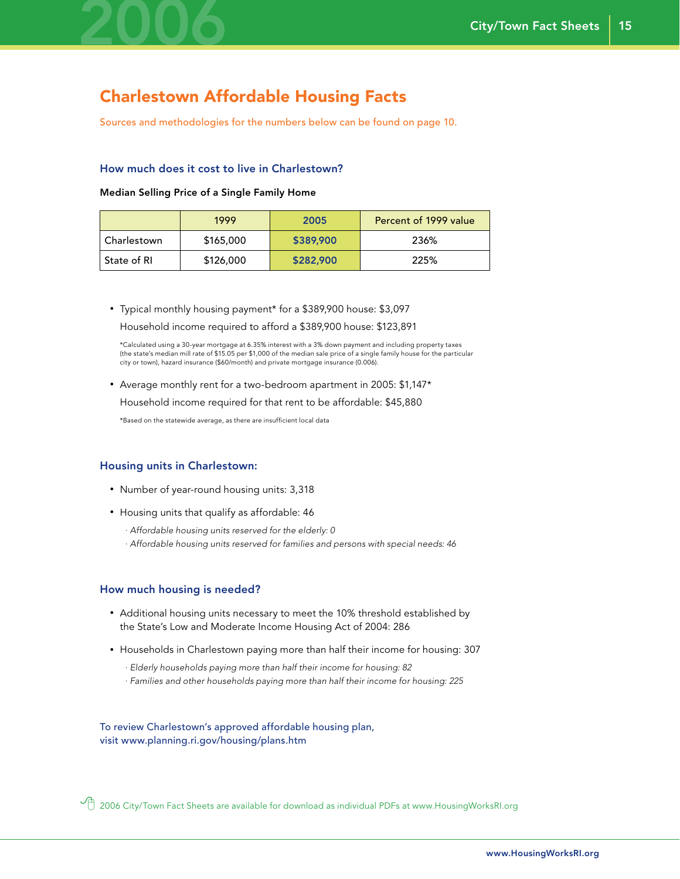

### Charlestown Affordable Housing Facts

Sources and methodologies for the numbers below can be found on page 10.

#### How much does it cost to live in Charlestown?

#### Median Selling Price of a Single Family Home

|             | 1999      | 2005      | Percent of 1999 value |
|-------------|-----------|-----------|-----------------------|
| Charlestown | \$165,000 | \$389,900 | 236%                  |
| State of RI | \$126,000 | \$282,900 | 225%                  |

• Typical monthly housing payment\* for a \$389,900 house: \$3,097 Household income required to afford a \$389,900 house: \$123,891

 \*Calculated using a 30-year mortgage at 6.35% interest with a 3% down payment and including property taxes (the state's median mill rate of \$15.05 per \$1,000 of the median sale price of a single family house for the particular city or town), hazard insurance (\$60/month) and private mortgage insurance (0.006).

• Average monthly rent for a two-bedroom apartment in 2005: \$1,147\*

Household income required for that rent to be affordable: \$45,880

\*Based on the statewide average, as there are insufficient local data

#### Housing units in Charlestown:

- Number of year-round housing units: 3,318
- Housing units that qualify as affordable: 46
	- *· Affordable housing units reserved for the elderly: 0*
	- *· Affordable housing units reserved for families and persons with special needs: 46*

#### How much housing is needed?

- Additional housing units necessary to meet the 10% threshold established by the State's Low and Moderate Income Housing Act of 2004: 286
- Households in Charlestown paying more than half their income for housing: 307
	- *· Elderly households paying more than half their income for housing: 82*
	- *· Families and other households paying more than half their income for housing: 225*

To review Charlestown's approved affordable housing plan, visit www.planning.ri.gov/housing/plans.htm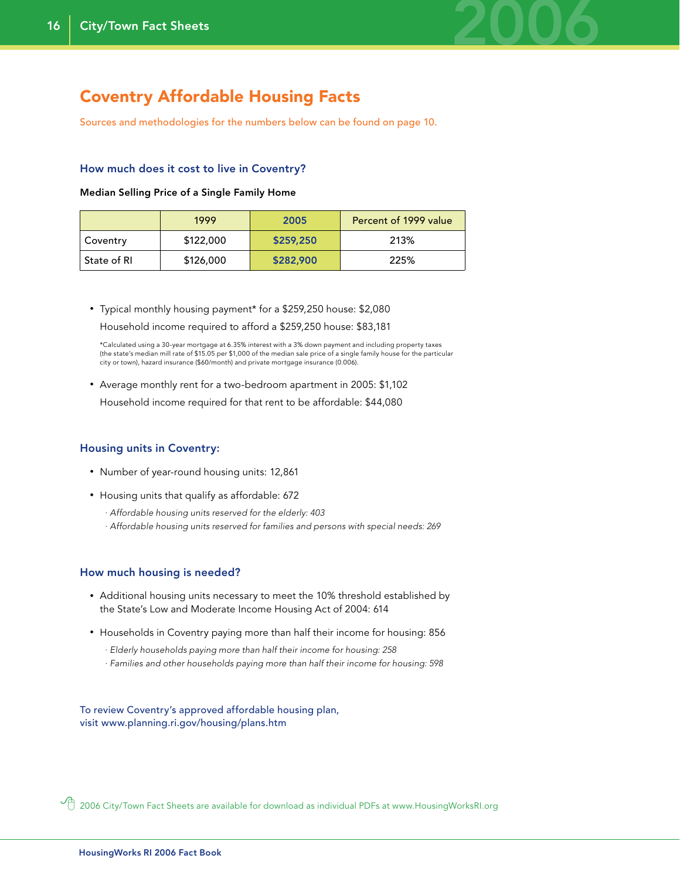

### Coventry Affordable Housing Facts

Sources and methodologies for the numbers below can be found on page 10.

#### How much does it cost to live in Coventry?

Median Selling Price of a Single Family Home

|               | 1999      | 2005      | Percent of 1999 value |
|---------------|-----------|-----------|-----------------------|
| Coventry      | \$122,000 | \$259,250 | 213%                  |
| ' State of RI | \$126,000 | \$282,900 | 225%                  |

• Typical monthly housing payment\* for a \$259,250 house: \$2,080 Household income required to afford a \$259,250 house: \$83,181

 \*Calculated using a 30-year mortgage at 6.35% interest with a 3% down payment and including property taxes (the state's median mill rate of \$15.05 per \$1,000 of the median sale price of a single family house for the particular city or town), hazard insurance (\$60/month) and private mortgage insurance (0.006).

• Average monthly rent for a two-bedroom apartment in 2005: \$1,102 Household income required for that rent to be affordable: \$44,080

#### Housing units in Coventry:

- Number of year-round housing units: 12,861
- Housing units that qualify as affordable: 672
	- *· Affordable housing units reserved for the elderly: 403*
	- *· Affordable housing units reserved for families and persons with special needs: 269*

#### How much housing is needed?

- Additional housing units necessary to meet the 10% threshold established by the State's Low and Moderate Income Housing Act of 2004: 614
- Households in Coventry paying more than half their income for housing: 856
	- *· Elderly households paying more than half their income for housing: 258*
	- *· Families and other households paying more than half their income for housing: 598*

To review Coventry's approved affordable housing plan, visit www.planning.ri.gov/housing/plans.htm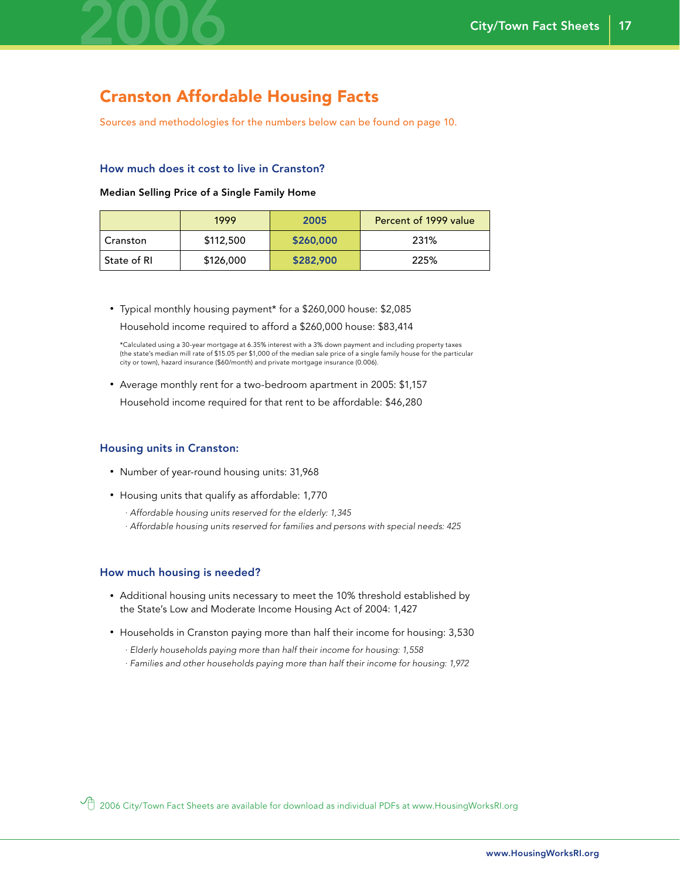

## Cranston Affordable Housing Facts

Sources and methodologies for the numbers below can be found on page 10.

#### How much does it cost to live in Cranston?

#### Median Selling Price of a Single Family Home

|             | 1999      | 2005      | Percent of 1999 value |
|-------------|-----------|-----------|-----------------------|
| Cranston    | \$112,500 | \$260,000 | 231%                  |
| State of RI | \$126,000 | \$282,900 | 225%                  |

• Typical monthly housing payment\* for a \$260,000 house: \$2,085 Household income required to afford a \$260,000 house: \$83,414

 \*Calculated using a 30-year mortgage at 6.35% interest with a 3% down payment and including property taxes (the state's median mill rate of \$15.05 per \$1,000 of the median sale price of a single family house for the particular city or town), hazard insurance (\$60/month) and private mortgage insurance (0.006).

• Average monthly rent for a two-bedroom apartment in 2005: \$1,157 Household income required for that rent to be affordable: \$46,280

### Housing units in Cranston:

- Number of year-round housing units: 31,968
- Housing units that qualify as affordable: 1,770
	- *· Affordable housing units reserved for the elderly: 1,345*
	- *· Affordable housing units reserved for families and persons with special needs: 425*

#### How much housing is needed?

- Additional housing units necessary to meet the 10% threshold established by the State's Low and Moderate Income Housing Act of 2004: 1,427
- Households in Cranston paying more than half their income for housing: 3,530
	- *· Elderly households paying more than half their income for housing: 1,558*
	- *· Families and other households paying more than half their income for housing: 1,972*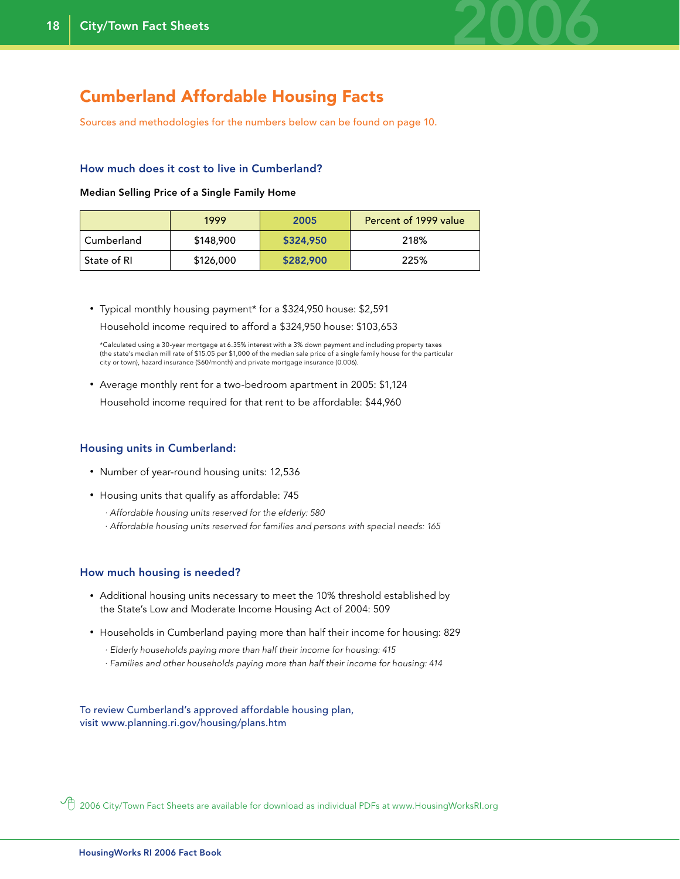

### Cumberland Affordable Housing Facts

Sources and methodologies for the numbers below can be found on page 10.

#### How much does it cost to live in Cumberland?

#### Median Selling Price of a Single Family Home

|             | 1999      | 2005      | Percent of 1999 value |
|-------------|-----------|-----------|-----------------------|
| Cumberland  | \$148,900 | \$324,950 | 218%                  |
| State of RI | \$126,000 | \$282,900 | 225%                  |

• Typical monthly housing payment\* for a \$324,950 house: \$2,591 Household income required to afford a \$324,950 house: \$103,653

 \*Calculated using a 30-year mortgage at 6.35% interest with a 3% down payment and including property taxes (the state's median mill rate of \$15.05 per \$1,000 of the median sale price of a single family house for the particular city or town), hazard insurance (\$60/month) and private mortgage insurance (0.006).

• Average monthly rent for a two-bedroom apartment in 2005: \$1,124

### Household income required for that rent to be affordable: \$44,960

#### Housing units in Cumberland:

- Number of year-round housing units: 12,536
- Housing units that qualify as affordable: 745
	- *· Affordable housing units reserved for the elderly: 580*
	- *· Affordable housing units reserved for families and persons with special needs: 165*

#### How much housing is needed?

- Additional housing units necessary to meet the 10% threshold established by the State's Low and Moderate Income Housing Act of 2004: 509
- Households in Cumberland paying more than half their income for housing: 829
	- *· Elderly households paying more than half their income for housing: 415*
	- *· Families and other households paying more than half their income for housing: 414*

To review Cumberland's approved affordable housing plan, visit www.planning.ri.gov/housing/plans.htm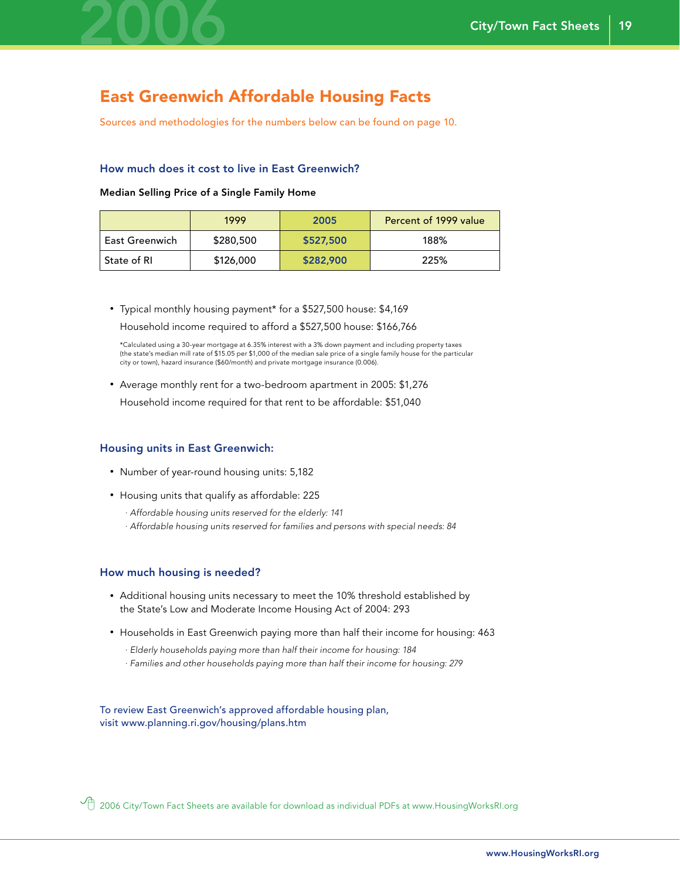

### East Greenwich Affordable Housing Facts

Sources and methodologies for the numbers below can be found on page 10.

#### How much does it cost to live in East Greenwich?

Median Selling Price of a Single Family Home

|                | 1999      | 2005      | Percent of 1999 value |
|----------------|-----------|-----------|-----------------------|
| East Greenwich | \$280,500 | \$527,500 | 188%                  |
| ' State of RI  | \$126,000 | \$282,900 | 225%                  |

• Typical monthly housing payment\* for a \$527,500 house: \$4,169

Household income required to afford a \$527,500 house: \$166,766

 \*Calculated using a 30-year mortgage at 6.35% interest with a 3% down payment and including property taxes (the state's median mill rate of \$15.05 per \$1,000 of the median sale price of a single family house for the particular city or town), hazard insurance (\$60/month) and private mortgage insurance (0.006).

• Average monthly rent for a two-bedroom apartment in 2005: \$1,276

Household income required for that rent to be affordable: \$51,040

#### Housing units in East Greenwich:

- Number of year-round housing units: 5,182
- Housing units that qualify as affordable: 225
	- *· Affordable housing units reserved for the elderly: 141*
	- *· Affordable housing units reserved for families and persons with special needs: 84*

#### How much housing is needed?

- Additional housing units necessary to meet the 10% threshold established by the State's Low and Moderate Income Housing Act of 2004: 293
- Households in East Greenwich paying more than half their income for housing: 463
	- *· Elderly households paying more than half their income for housing: 184*
	- *· Families and other households paying more than half their income for housing: 279*

To review East Greenwich's approved affordable housing plan, visit www.planning.ri.gov/housing/plans.htm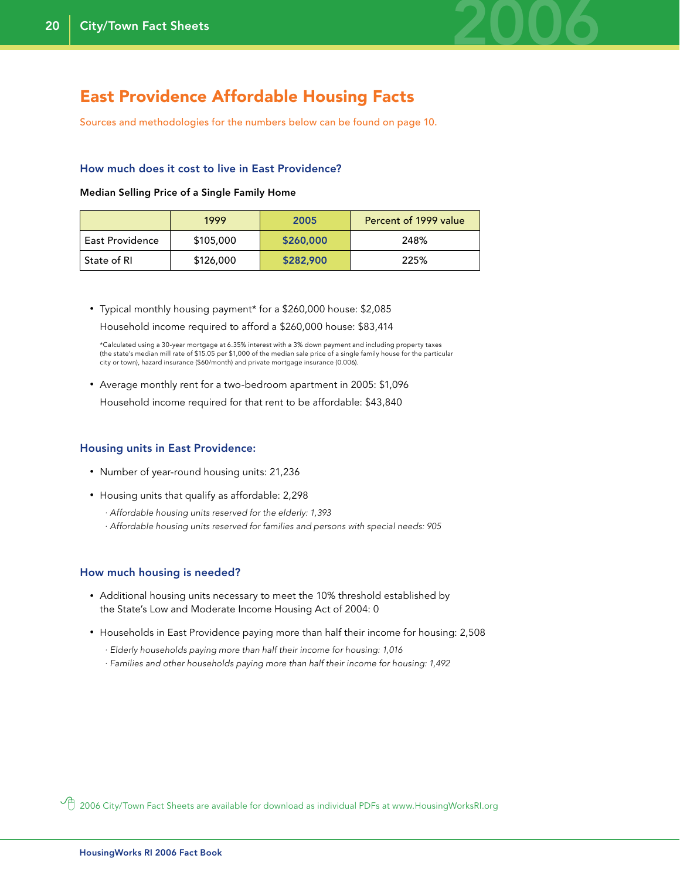

### East Providence Affordable Housing Facts

Sources and methodologies for the numbers below can be found on page 10.

#### How much does it cost to live in East Providence?

#### Median Selling Price of a Single Family Home

|                 | 1999      | 2005      | Percent of 1999 value |
|-----------------|-----------|-----------|-----------------------|
| East Providence | \$105,000 | \$260,000 | 248%                  |
| State of RI     | \$126,000 | \$282,900 | 225%                  |

• Typical monthly housing payment\* for a \$260,000 house: \$2,085 Household income required to afford a \$260,000 house: \$83,414

 \*Calculated using a 30-year mortgage at 6.35% interest with a 3% down payment and including property taxes (the state's median mill rate of \$15.05 per \$1,000 of the median sale price of a single family house for the particular city or town), hazard insurance (\$60/month) and private mortgage insurance (0.006).

- Average monthly rent for a two-bedroom apartment in 2005: \$1,096
- Household income required for that rent to be affordable: \$43,840

#### Housing units in East Providence:

- Number of year-round housing units: 21,236
- Housing units that qualify as affordable: 2,298
	- *· Affordable housing units reserved for the elderly: 1,393*
	- *· Affordable housing units reserved for families and persons with special needs: 905*

#### How much housing is needed?

- Additional housing units necessary to meet the 10% threshold established by the State's Low and Moderate Income Housing Act of 2004: 0
- Households in East Providence paying more than half their income for housing: 2,508
	- *· Elderly households paying more than half their income for housing: 1,016*
	- *· Families and other households paying more than half their income for housing: 1,492*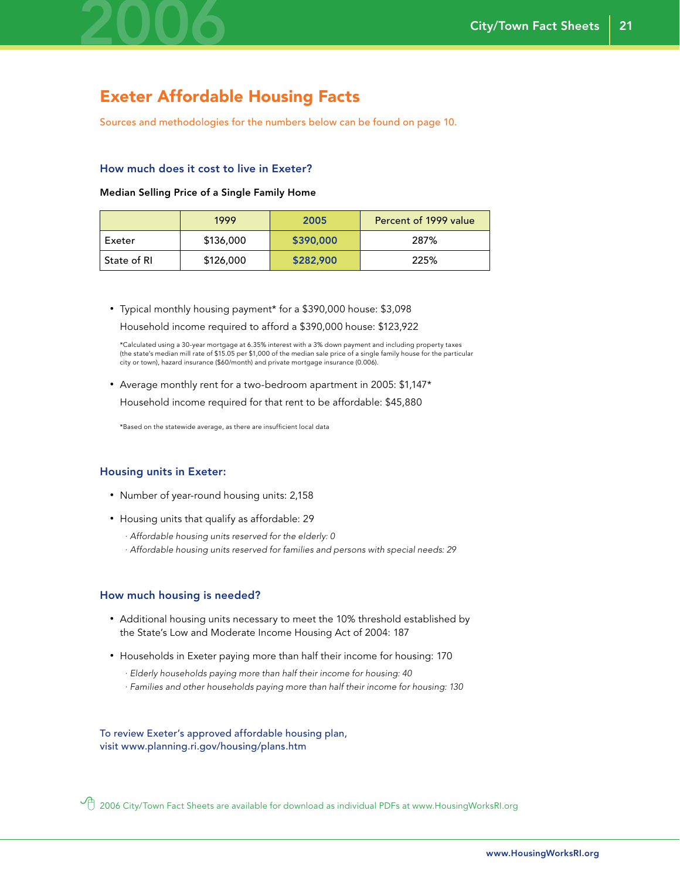

### Exeter Affordable Housing Facts

Sources and methodologies for the numbers below can be found on page 10.

#### How much does it cost to live in Exeter?

#### Median Selling Price of a Single Family Home

|               | 1999      | 2005      | Percent of 1999 value |
|---------------|-----------|-----------|-----------------------|
| Exeter        | \$136,000 | \$390,000 | 287%                  |
| ' State of RI | \$126,000 | \$282,900 | 225%                  |

• Typical monthly housing payment\* for a \$390,000 house: \$3,098 Household income required to afford a \$390,000 house: \$123,922

 \*Calculated using a 30-year mortgage at 6.35% interest with a 3% down payment and including property taxes (the state's median mill rate of \$15.05 per \$1,000 of the median sale price of a single family house for the particular city or town), hazard insurance (\$60/month) and private mortgage insurance (0.006).

• Average monthly rent for a two-bedroom apartment in 2005: \$1,147\* Household income required for that rent to be affordable: \$45,880

\*Based on the statewide average, as there are insufficient local data

#### Housing units in Exeter:

- Number of year-round housing units: 2,158
- Housing units that qualify as affordable: 29
	- *· Affordable housing units reserved for the elderly: 0*
	- *· Affordable housing units reserved for families and persons with special needs: 29*

#### How much housing is needed?

- Additional housing units necessary to meet the 10% threshold established by the State's Low and Moderate Income Housing Act of 2004: 187
- Households in Exeter paying more than half their income for housing: 170
	- *· Elderly households paying more than half their income for housing: 40*
	- *· Families and other households paying more than half their income for housing: 130*

To review Exeter's approved affordable housing plan, visit www.planning.ri.gov/housing/plans.htm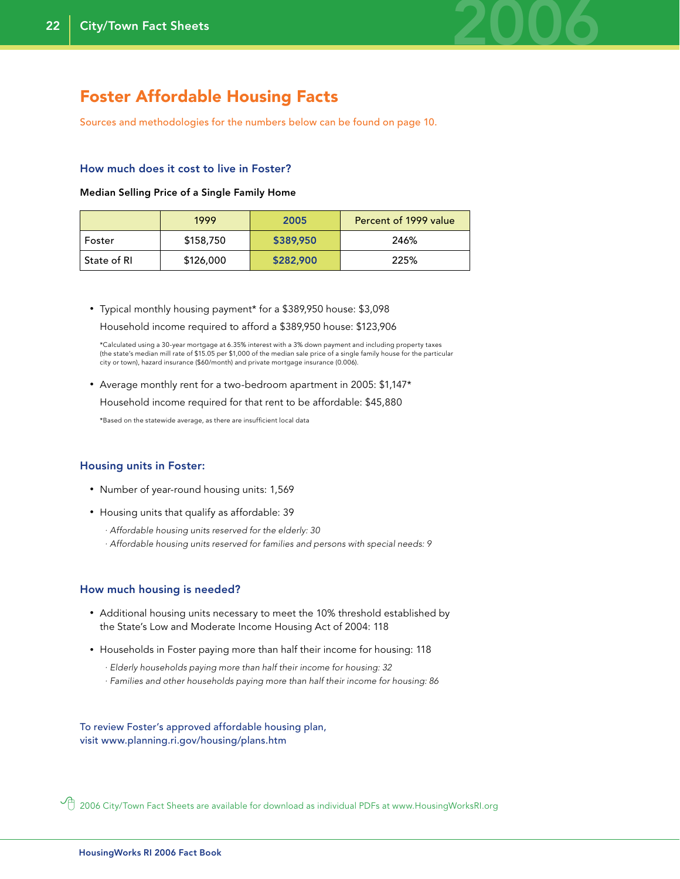

### Foster Affordable Housing Facts

Sources and methodologies for the numbers below can be found on page 10.

#### How much does it cost to live in Foster?

#### Median Selling Price of a Single Family Home

|             | 1999      | 2005      | Percent of 1999 value |
|-------------|-----------|-----------|-----------------------|
| Foster      | \$158,750 | \$389,950 | 246%                  |
| State of RI | \$126,000 | \$282,900 | 225%                  |

• Typical monthly housing payment\* for a \$389,950 house: \$3,098 Household income required to afford a \$389,950 house: \$123,906

 \*Calculated using a 30-year mortgage at 6.35% interest with a 3% down payment and including property taxes (the state's median mill rate of \$15.05 per \$1,000 of the median sale price of a single family house for the particular city or town), hazard insurance (\$60/month) and private mortgage insurance (0.006).

• Average monthly rent for a two-bedroom apartment in 2005: \$1,147\*

Household income required for that rent to be affordable: \$45,880

\*Based on the statewide average, as there are insufficient local data

#### Housing units in Foster:

- Number of year-round housing units: 1,569
- Housing units that qualify as affordable: 39
	- *· Affordable housing units reserved for the elderly: 30*
	- *· Affordable housing units reserved for families and persons with special needs: 9*

#### How much housing is needed?

- Additional housing units necessary to meet the 10% threshold established by the State's Low and Moderate Income Housing Act of 2004: 118
- Households in Foster paying more than half their income for housing: 118
	- *· Elderly households paying more than half their income for housing: 32*
	- *· Families and other households paying more than half their income for housing: 86*

To review Foster's approved affordable housing plan, visit www.planning.ri.gov/housing/plans.htm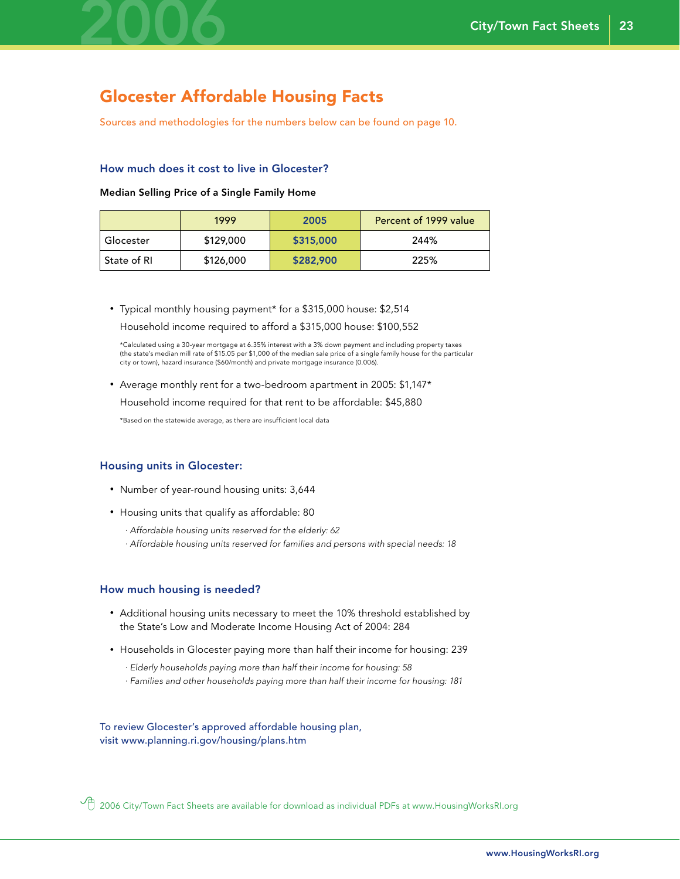

## Glocester Affordable Housing Facts

Sources and methodologies for the numbers below can be found on page 10.

#### How much does it cost to live in Glocester?

#### Median Selling Price of a Single Family Home

|               | 1999      | 2005      | Percent of 1999 value |
|---------------|-----------|-----------|-----------------------|
| Glocester     | \$129,000 | \$315,000 | 244%                  |
| ' State of RI | \$126,000 | \$282,900 | 225%                  |

• Typical monthly housing payment\* for a \$315,000 house: \$2,514 Household income required to afford a \$315,000 house: \$100,552

 \*Calculated using a 30-year mortgage at 6.35% interest with a 3% down payment and including property taxes (the state's median mill rate of \$15.05 per \$1,000 of the median sale price of a single family house for the particular city or town), hazard insurance (\$60/month) and private mortgage insurance (0.006).

• Average monthly rent for a two-bedroom apartment in 2005: \$1,147\*

Household income required for that rent to be affordable: \$45,880

\*Based on the statewide average, as there are insufficient local data

#### Housing units in Glocester:

- Number of year-round housing units: 3,644
- Housing units that qualify as affordable: 80
	- *· Affordable housing units reserved for the elderly: 62*
	- *· Affordable housing units reserved for families and persons with special needs: 18*

#### How much housing is needed?

- Additional housing units necessary to meet the 10% threshold established by the State's Low and Moderate Income Housing Act of 2004: 284
- Households in Glocester paying more than half their income for housing: 239
	- *· Elderly households paying more than half their income for housing: 58*
	- *· Families and other households paying more than half their income for housing: 181*

To review Glocester's approved affordable housing plan, visit www.planning.ri.gov/housing/plans.htm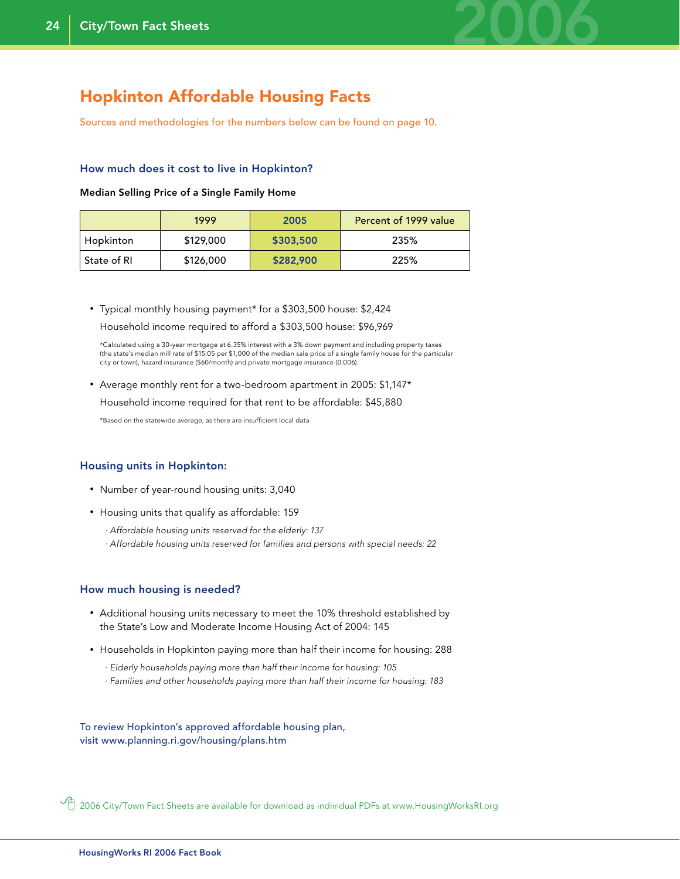

### Hopkinton Affordable Housing Facts

Sources and methodologies for the numbers below can be found on page 10.

#### How much does it cost to live in Hopkinton?

#### Median Selling Price of a Single Family Home

|             | 1999      | 2005      | Percent of 1999 value |
|-------------|-----------|-----------|-----------------------|
| Hopkinton   | \$129,000 | \$303,500 | 235%                  |
| State of RI | \$126,000 | \$282,900 | 225%                  |

• Typical monthly housing payment\* for a \$303,500 house: \$2,424 Household income required to afford a \$303,500 house: \$96,969

 \*Calculated using a 30-year mortgage at 6.35% interest with a 3% down payment and including property taxes (the state's median mill rate of \$15.05 per \$1,000 of the median sale price of a single family house for the particular city or town), hazard insurance (\$60/month) and private mortgage insurance (0.006).

• Average monthly rent for a two-bedroom apartment in 2005: \$1,147\*

Household income required for that rent to be affordable: \$45,880

\*Based on the statewide average, as there are insufficient local data

#### Housing units in Hopkinton:

- Number of year-round housing units: 3,040
- Housing units that qualify as affordable: 159
	- *· Affordable housing units reserved for the elderly: 137*
	- *· Affordable housing units reserved for families and persons with special needs: 22*

#### How much housing is needed?

- Additional housing units necessary to meet the 10% threshold established by the State's Low and Moderate Income Housing Act of 2004: 145
- Households in Hopkinton paying more than half their income for housing: 288
	- *· Elderly households paying more than half their income for housing: 105*
	- *· Families and other households paying more than half their income for housing: 183*

To review Hopkinton's approved affordable housing plan, visit www.planning.ri.gov/housing/plans.htm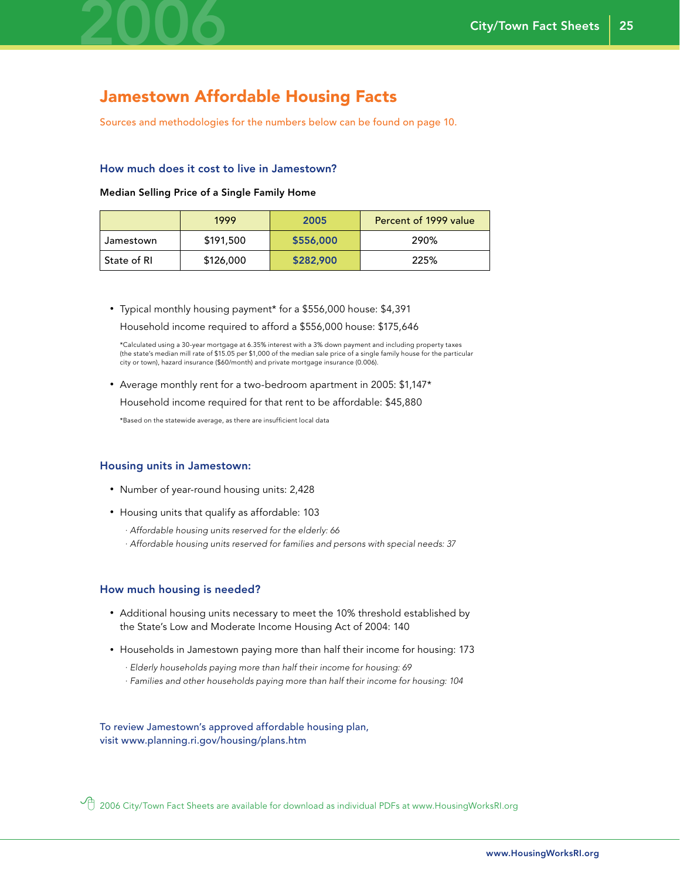

### Jamestown Affordable Housing Facts

Sources and methodologies for the numbers below can be found on page 10.

#### How much does it cost to live in Jamestown?

#### Median Selling Price of a Single Family Home

|             | 1999      | 2005      | Percent of 1999 value |
|-------------|-----------|-----------|-----------------------|
| Jamestown   | \$191,500 | \$556,000 | 290%                  |
| State of RI | \$126,000 | \$282,900 | 225%                  |

• Typical monthly housing payment\* for a \$556,000 house: \$4,391 Household income required to afford a \$556,000 house: \$175,646

 \*Calculated using a 30-year mortgage at 6.35% interest with a 3% down payment and including property taxes (the state's median mill rate of \$15.05 per \$1,000 of the median sale price of a single family house for the particular city or town), hazard insurance (\$60/month) and private mortgage insurance (0.006).

• Average monthly rent for a two-bedroom apartment in 2005: \$1,147\*

Household income required for that rent to be affordable: \$45,880

\*Based on the statewide average, as there are insufficient local data

#### Housing units in Jamestown:

- Number of year-round housing units: 2,428
- Housing units that qualify as affordable: 103
	- *· Affordable housing units reserved for the elderly: 66*
	- *· Affordable housing units reserved for families and persons with special needs: 37*

#### How much housing is needed?

- Additional housing units necessary to meet the 10% threshold established by the State's Low and Moderate Income Housing Act of 2004: 140
- Households in Jamestown paying more than half their income for housing: 173
	- *· Elderly households paying more than half their income for housing: 69*
	- *· Families and other households paying more than half their income for housing: 104*

To review Jamestown's approved affordable housing plan, visit www.planning.ri.gov/housing/plans.htm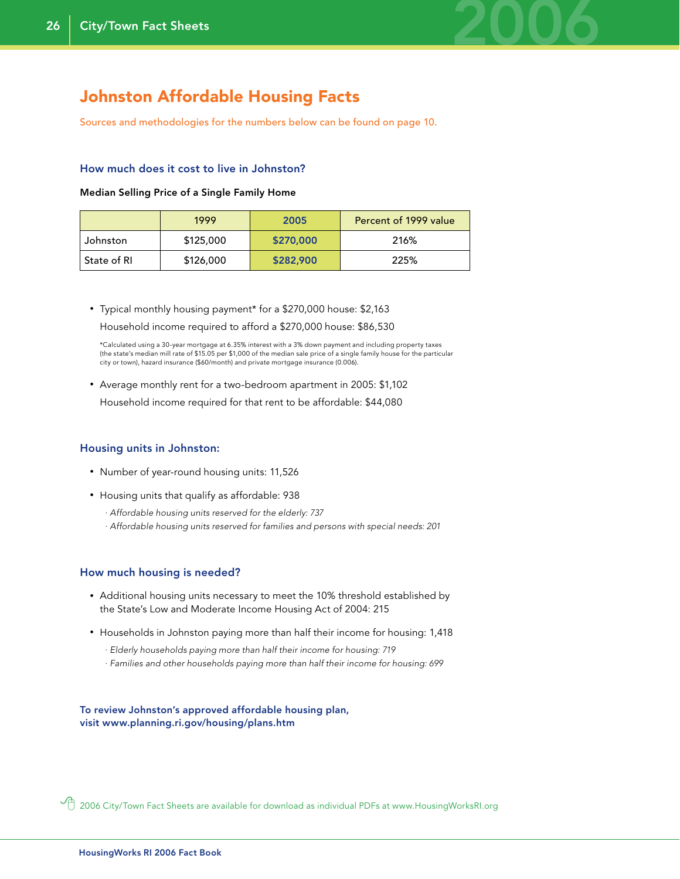

### Johnston Affordable Housing Facts

Sources and methodologies for the numbers below can be found on page 10.

#### How much does it cost to live in Johnston?

#### Median Selling Price of a Single Family Home

|             | 1999      | 2005      | Percent of 1999 value |
|-------------|-----------|-----------|-----------------------|
| Johnston    | \$125,000 | \$270,000 | 216%                  |
| State of RI | \$126,000 | \$282,900 | 225%                  |

• Typical monthly housing payment\* for a \$270,000 house: \$2,163 Household income required to afford a \$270,000 house: \$86,530

 \*Calculated using a 30-year mortgage at 6.35% interest with a 3% down payment and including property taxes (the state's median mill rate of \$15.05 per \$1,000 of the median sale price of a single family house for the particular city or town), hazard insurance (\$60/month) and private mortgage insurance (0.006).

• Average monthly rent for a two-bedroom apartment in 2005: \$1,102 Household income required for that rent to be affordable: \$44,080

#### Housing units in Johnston:

- Number of year-round housing units: 11,526
- Housing units that qualify as affordable: 938
	- *· Affordable housing units reserved for the elderly: 737*
	- *· Affordable housing units reserved for families and persons with special needs: 201*

#### How much housing is needed?

- Additional housing units necessary to meet the 10% threshold established by the State's Low and Moderate Income Housing Act of 2004: 215
- Households in Johnston paying more than half their income for housing: 1,418
	- *· Elderly households paying more than half their income for housing: 719*
	- *· Families and other households paying more than half their income for housing: 699*

To review Johnston's approved affordable housing plan, visit www.planning.ri.gov/housing/plans.htm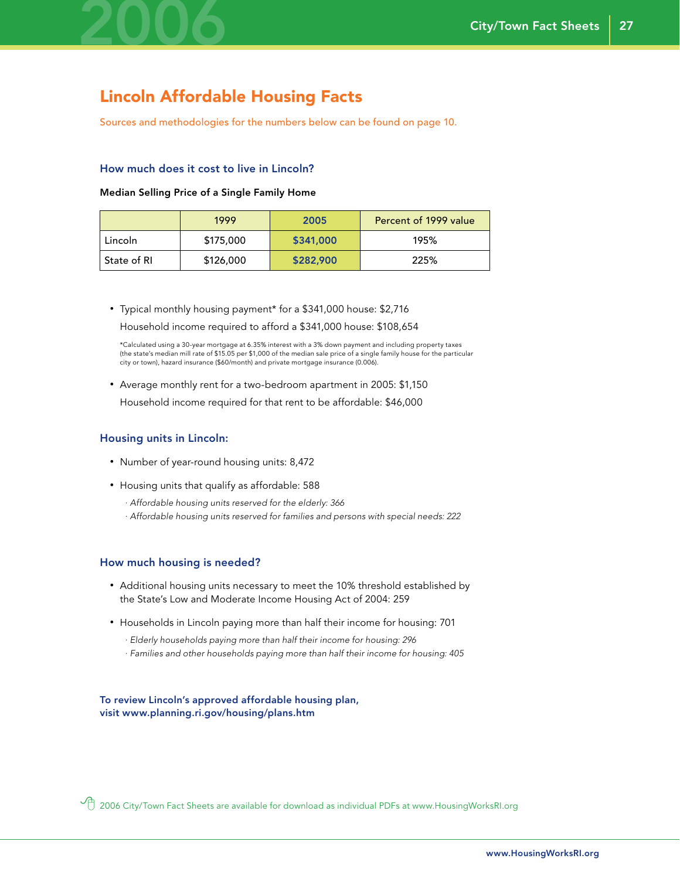

### Lincoln Affordable Housing Facts

Sources and methodologies for the numbers below can be found on page 10.

#### How much does it cost to live in Lincoln?

#### Median Selling Price of a Single Family Home

|             | 1999      | 2005      | Percent of 1999 value |
|-------------|-----------|-----------|-----------------------|
| Lincoln     | \$175,000 | \$341,000 | 195%                  |
| State of RI | \$126,000 | \$282,900 | 225%                  |

• Typical monthly housing payment\* for a \$341,000 house: \$2,716

Household income required to afford a \$341,000 house: \$108,654

 \*Calculated using a 30-year mortgage at 6.35% interest with a 3% down payment and including property taxes (the state's median mill rate of \$15.05 per \$1,000 of the median sale price of a single family house for the particular city or town), hazard insurance (\$60/month) and private mortgage insurance (0.006).

• Average monthly rent for a two-bedroom apartment in 2005: \$1,150

Household income required for that rent to be affordable: \$46,000

#### Housing units in Lincoln:

- Number of year-round housing units: 8,472
- Housing units that qualify as affordable: 588
	- *· Affordable housing units reserved for the elderly: 366*
	- *· Affordable housing units reserved for families and persons with special needs: 222*

#### How much housing is needed?

- Additional housing units necessary to meet the 10% threshold established by the State's Low and Moderate Income Housing Act of 2004: 259
- Households in Lincoln paying more than half their income for housing: 701
	- *· Elderly households paying more than half their income for housing: 296*
	- *· Families and other households paying more than half their income for housing: 405*

To review Lincoln's approved affordable housing plan, visit www.planning.ri.gov/housing/plans.htm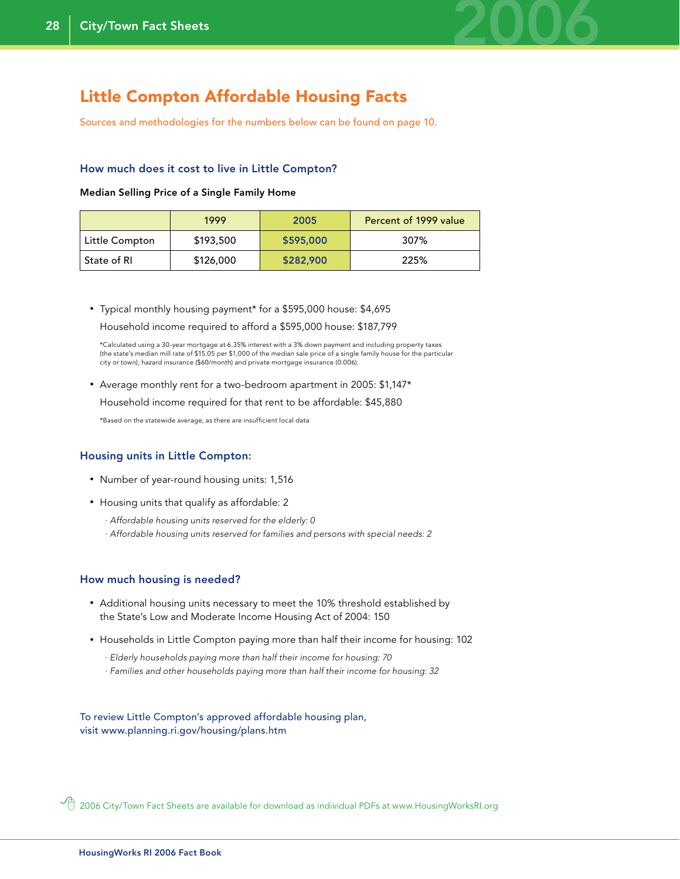

### Little Compton Affordable Housing Facts

Sources and methodologies for the numbers below can be found on page 10.

#### How much does it cost to live in Little Compton?

#### Median Selling Price of a Single Family Home

|                | 1999      | 2005      | Percent of 1999 value |
|----------------|-----------|-----------|-----------------------|
| Little Compton | \$193,500 | \$595,000 | 307%                  |
| State of RI    | \$126,000 | \$282,900 | 225%                  |

• Typical monthly housing payment\* for a \$595,000 house: \$4,695 Household income required to afford a \$595,000 house: \$187,799

 \*Calculated using a 30-year mortgage at 6.35% interest with a 3% down payment and including property taxes (the state's median mill rate of \$15.05 per \$1,000 of the median sale price of a single family house for the particular city or town), hazard insurance (\$60/month) and private mortgage insurance (0.006).

• Average monthly rent for a two-bedroom apartment in 2005: \$1,147\*

Household income required for that rent to be affordable: \$45,880

\*Based on the statewide average, as there are insufficient local data

#### Housing units in Little Compton:

- Number of year-round housing units: 1,516
- Housing units that qualify as affordable: 2
	- *· Affordable housing units reserved for the elderly: 0*
	- *· Affordable housing units reserved for families and persons with special needs: 2*

#### How much housing is needed?

- Additional housing units necessary to meet the 10% threshold established by the State's Low and Moderate Income Housing Act of 2004: 150
- Households in Little Compton paying more than half their income for housing: 102
	- *· Elderly households paying more than half their income for housing: 70*
	- *· Families and other households paying more than half their income for housing: 32*

To review Little Compton's approved affordable housing plan, visit www.planning.ri.gov/housing/plans.htm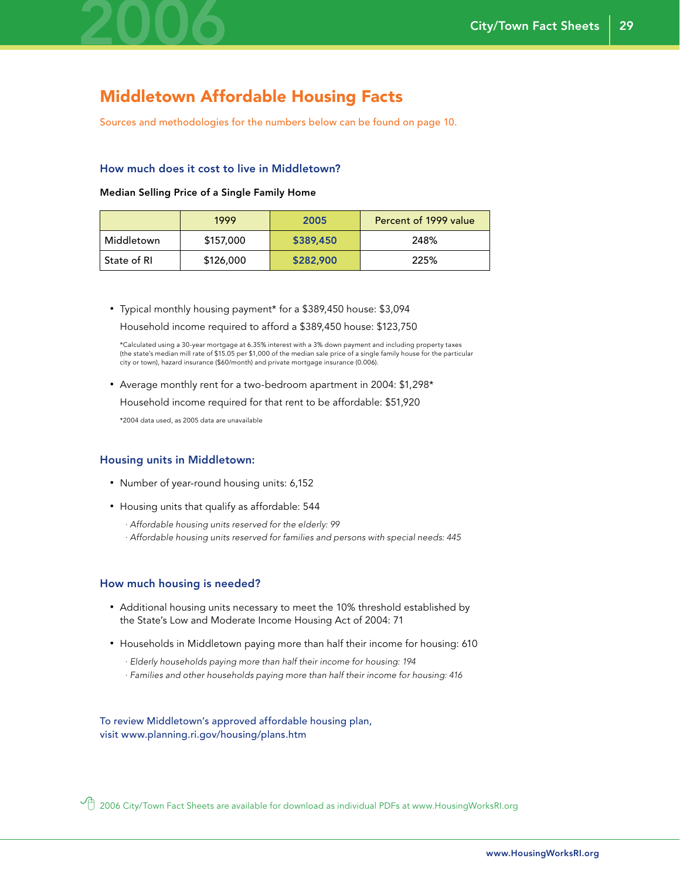

### Middletown Affordable Housing Facts

Sources and methodologies for the numbers below can be found on page 10.

#### How much does it cost to live in Middletown?

#### Median Selling Price of a Single Family Home

|              | 1999      | 2005      | Percent of 1999 value |
|--------------|-----------|-----------|-----------------------|
| Middletown   | \$157,000 | \$389,450 | 248%                  |
| -State of RI | \$126,000 | \$282,900 | 225%                  |

• Typical monthly housing payment\* for a \$389,450 house: \$3,094 Household income required to afford a \$389,450 house: \$123,750

 \*Calculated using a 30-year mortgage at 6.35% interest with a 3% down payment and including property taxes (the state's median mill rate of \$15.05 per \$1,000 of the median sale price of a single family house for the particular city or town), hazard insurance (\$60/month) and private mortgage insurance (0.006).

• Average monthly rent for a two-bedroom apartment in 2004: \$1,298\*

Household income required for that rent to be affordable: \$51,920

\*2004 data used, as 2005 data are unavailable

#### Housing units in Middletown:

- Number of year-round housing units: 6,152
- Housing units that qualify as affordable: 544
	- *· Affordable housing units reserved for the elderly: 99*
	- *· Affordable housing units reserved for families and persons with special needs: 445*

#### How much housing is needed?

- Additional housing units necessary to meet the 10% threshold established by the State's Low and Moderate Income Housing Act of 2004: 71
- Households in Middletown paying more than half their income for housing: 610
	- *· Elderly households paying more than half their income for housing: 194*
	- *· Families and other households paying more than half their income for housing: 416*

To review Middletown's approved affordable housing plan, visit www.planning.ri.gov/housing/plans.htm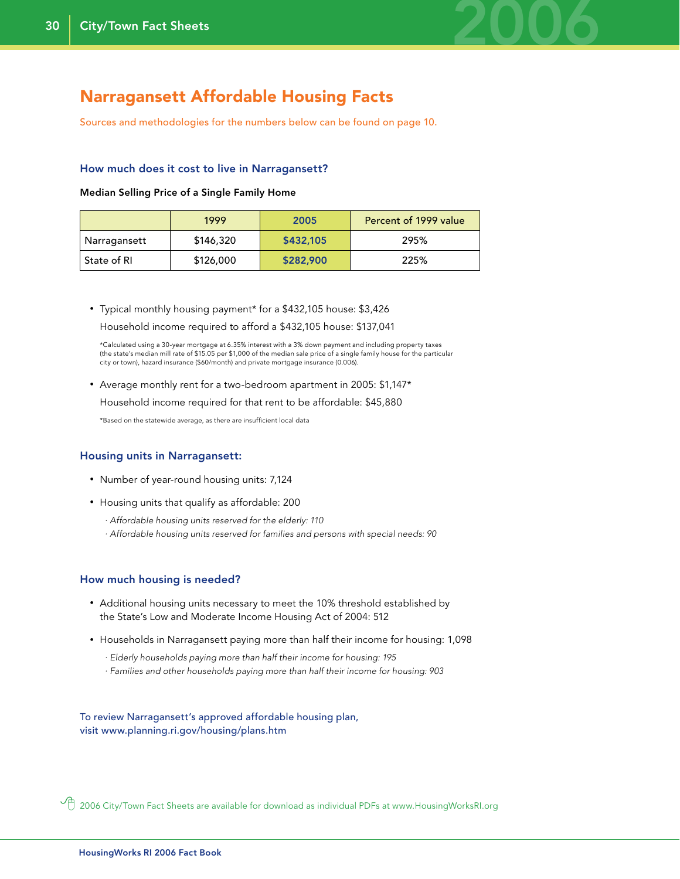

### Narragansett Affordable Housing Facts

Sources and methodologies for the numbers below can be found on page 10.

#### How much does it cost to live in Narragansett?

#### Median Selling Price of a Single Family Home

|              | 1999      | 2005      | Percent of 1999 value |
|--------------|-----------|-----------|-----------------------|
| Narragansett | \$146,320 | \$432,105 | 295%                  |
| State of RI  | \$126,000 | \$282,900 | 225%                  |

• Typical monthly housing payment\* for a \$432,105 house: \$3,426 Household income required to afford a \$432,105 house: \$137,041

 \*Calculated using a 30-year mortgage at 6.35% interest with a 3% down payment and including property taxes (the state's median mill rate of \$15.05 per \$1,000 of the median sale price of a single family house for the particular city or town), hazard insurance (\$60/month) and private mortgage insurance (0.006).

• Average monthly rent for a two-bedroom apartment in 2005: \$1,147\*

Household income required for that rent to be affordable: \$45,880

\*Based on the statewide average, as there are insufficient local data

#### Housing units in Narragansett:

- Number of year-round housing units: 7,124
- Housing units that qualify as affordable: 200
	- *· Affordable housing units reserved for the elderly: 110*
	- *· Affordable housing units reserved for families and persons with special needs: 90*

#### How much housing is needed?

- Additional housing units necessary to meet the 10% threshold established by the State's Low and Moderate Income Housing Act of 2004: 512
- Households in Narragansett paying more than half their income for housing: 1,098
	- *· Elderly households paying more than half their income for housing: 195*
	- *· Families and other households paying more than half their income for housing: 903*

To review Narragansett's approved affordable housing plan, visit www.planning.ri.gov/housing/plans.htm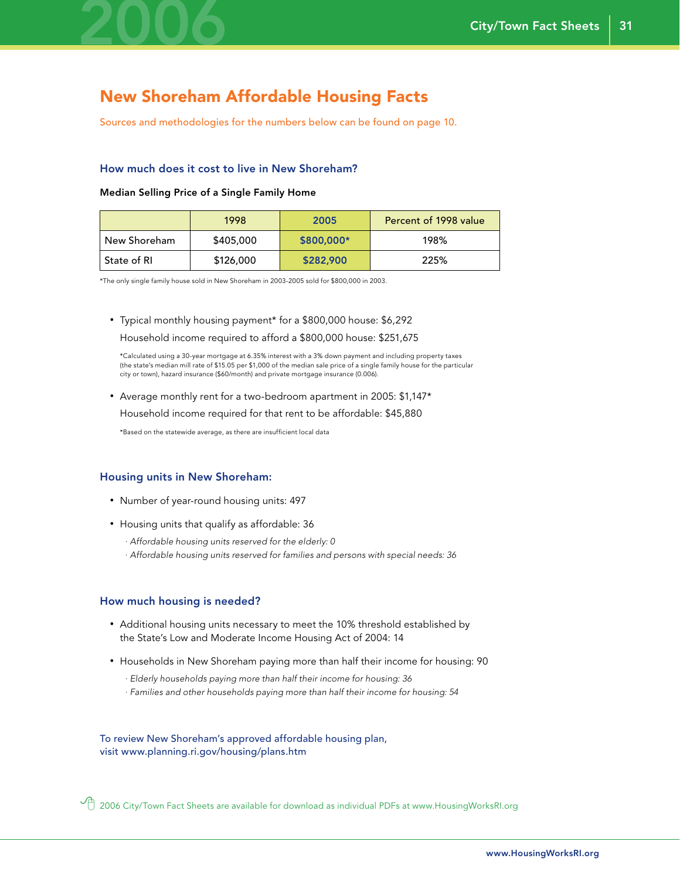

### New Shoreham Affordable Housing Facts

Sources and methodologies for the numbers below can be found on page 10.

#### How much does it cost to live in New Shoreham?

#### Median Selling Price of a Single Family Home

|              | 1998      | 2005        | Percent of 1998 value |
|--------------|-----------|-------------|-----------------------|
| New Shoreham | \$405,000 | $$800,000*$ | 198%                  |
| State of RI  | \$126,000 | \$282,900   | 225%                  |

\*The only single family house sold in New Shoreham in 2003-2005 sold for \$800,000 in 2003.

#### • Typical monthly housing payment\* for a \$800,000 house: \$6,292

Household income required to afford a \$800,000 house: \$251,675

 \*Calculated using a 30-year mortgage at 6.35% interest with a 3% down payment and including property taxes (the state's median mill rate of \$15.05 per \$1,000 of the median sale price of a single family house for the particular city or town), hazard insurance (\$60/month) and private mortgage insurance (0.006).

• Average monthly rent for a two-bedroom apartment in 2005: \$1,147\*

Household income required for that rent to be affordable: \$45,880

\*Based on the statewide average, as there are insufficient local data

#### Housing units in New Shoreham:

- Number of year-round housing units: 497
- Housing units that qualify as affordable: 36
	- *· Affordable housing units reserved for the elderly: 0*
	- *· Affordable housing units reserved for families and persons with special needs: 36*

#### How much housing is needed?

- Additional housing units necessary to meet the 10% threshold established by the State's Low and Moderate Income Housing Act of 2004: 14
- Households in New Shoreham paying more than half their income for housing: 90
	- *· Elderly households paying more than half their income for housing: 36*
	- *· Families and other households paying more than half their income for housing: 54*

To review New Shoreham's approved affordable housing plan, visit www.planning.ri.gov/housing/plans.htm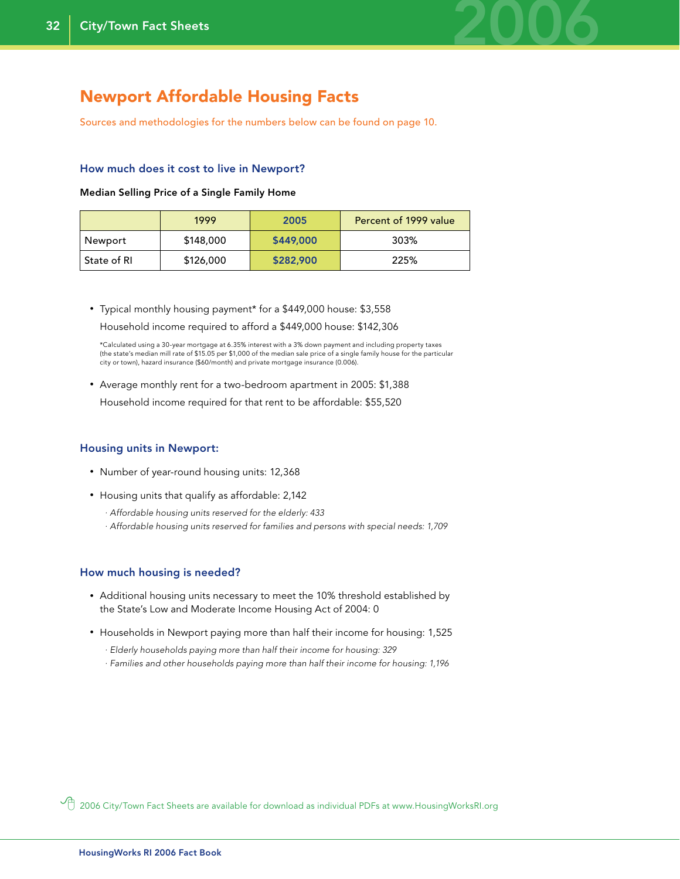

### Newport Affordable Housing Facts

Sources and methodologies for the numbers below can be found on page 10.

#### How much does it cost to live in Newport?

Median Selling Price of a Single Family Home

|             | 1999      | 2005      | Percent of 1999 value |
|-------------|-----------|-----------|-----------------------|
| Newport     | \$148,000 | \$449,000 | 303%                  |
| State of RL | \$126,000 | \$282,900 | 225%                  |

• Typical monthly housing payment\* for a \$449,000 house: \$3,558 Household income required to afford a \$449,000 house: \$142,306

 \*Calculated using a 30-year mortgage at 6.35% interest with a 3% down payment and including property taxes (the state's median mill rate of \$15.05 per \$1,000 of the median sale price of a single family house for the particular city or town), hazard insurance (\$60/month) and private mortgage insurance (0.006).

• Average monthly rent for a two-bedroom apartment in 2005: \$1,388 Household income required for that rent to be affordable: \$55,520

#### Housing units in Newport:

- Number of year-round housing units: 12,368
- Housing units that qualify as affordable: 2,142
	- *· Affordable housing units reserved for the elderly: 433*
	- *· Affordable housing units reserved for families and persons with special needs: 1,709*

#### How much housing is needed?

- Additional housing units necessary to meet the 10% threshold established by the State's Low and Moderate Income Housing Act of 2004: 0
- Households in Newport paying more than half their income for housing: 1,525
	- *· Elderly households paying more than half their income for housing: 329*
	- *· Families and other households paying more than half their income for housing: 1,196*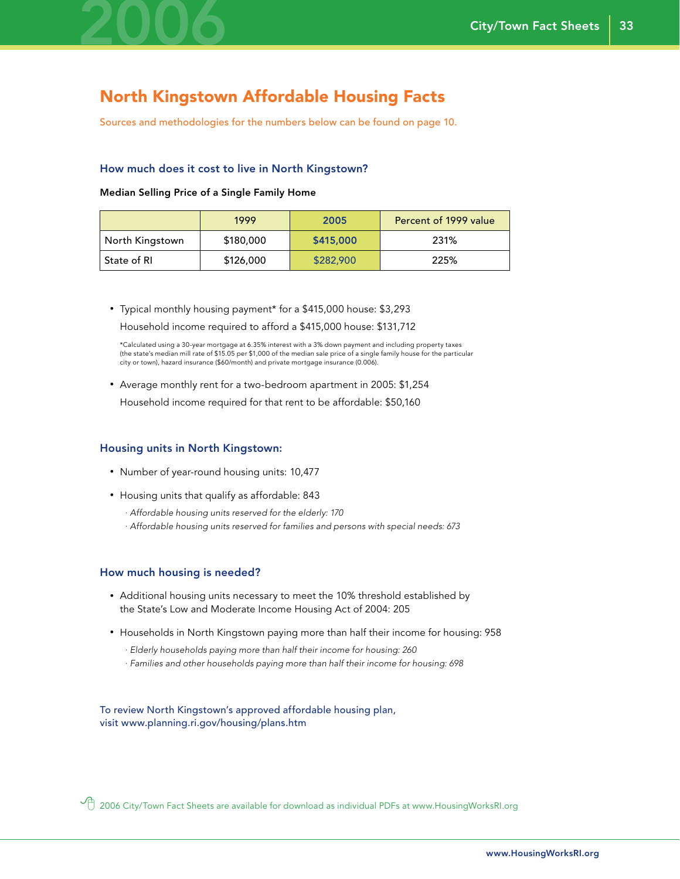

### North Kingstown Affordable Housing Facts

Sources and methodologies for the numbers below can be found on page 10.

#### How much does it cost to live in North Kingstown?

#### Median Selling Price of a Single Family Home

|                 | 1999      | 2005      | Percent of 1999 value |
|-----------------|-----------|-----------|-----------------------|
| North Kingstown | \$180,000 | \$415,000 | 231%                  |
| ' State of RI   | \$126,000 | \$282,900 | 225%                  |

• Typical monthly housing payment\* for a \$415,000 house: \$3,293 Household income required to afford a \$415,000 house: \$131,712

 \*Calculated using a 30-year mortgage at 6.35% interest with a 3% down payment and including property taxes (the state's median mill rate of \$15.05 per \$1,000 of the median sale price of a single family house for the particular city or town), hazard insurance (\$60/month) and private mortgage insurance (0.006).

• Average monthly rent for a two-bedroom apartment in 2005: \$1,254

Household income required for that rent to be affordable: \$50,160

#### Housing units in North Kingstown:

- Number of year-round housing units: 10,477
- Housing units that qualify as affordable: 843
	- *· Affordable housing units reserved for the elderly: 170*
	- *· Affordable housing units reserved for families and persons with special needs: 673*

#### How much housing is needed?

- Additional housing units necessary to meet the 10% threshold established by the State's Low and Moderate Income Housing Act of 2004: 205
- Households in North Kingstown paying more than half their income for housing: 958
	- *· Elderly households paying more than half their income for housing: 260*
	- *· Families and other households paying more than half their income for housing: 698*

To review North Kingstown's approved affordable housing plan, visit www.planning.ri.gov/housing/plans.htm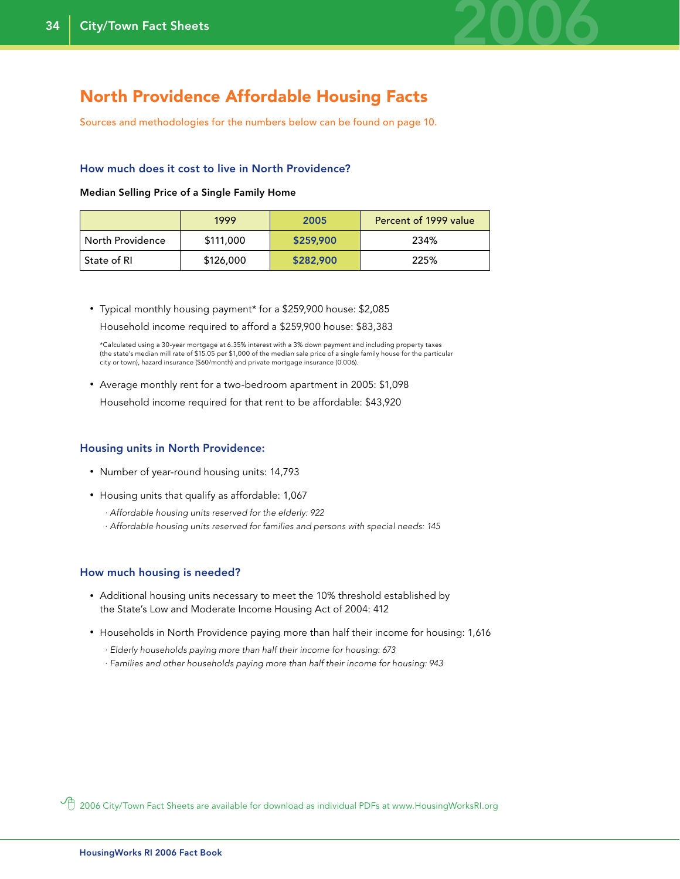

### North Providence Affordable Housing Facts

Sources and methodologies for the numbers below can be found on page 10.

#### How much does it cost to live in North Providence?

Median Selling Price of a Single Family Home

|                  | 1999      | 2005      | Percent of 1999 value |
|------------------|-----------|-----------|-----------------------|
| North Providence | \$111,000 | \$259,900 | 234%                  |
| ' State of RI    | \$126,000 | \$282,900 | 225%                  |

• Typical monthly housing payment\* for a \$259,900 house: \$2,085 Household income required to afford a \$259,900 house: \$83,383

 \*Calculated using a 30-year mortgage at 6.35% interest with a 3% down payment and including property taxes (the state's median mill rate of \$15.05 per \$1,000 of the median sale price of a single family house for the particular city or town), hazard insurance (\$60/month) and private mortgage insurance (0.006).

• Average monthly rent for a two-bedroom apartment in 2005: \$1,098

Household income required for that rent to be affordable: \$43,920

#### Housing units in North Providence:

- Number of year-round housing units: 14,793
- Housing units that qualify as affordable: 1,067
	- *· Affordable housing units reserved for the elderly: 922*
	- *· Affordable housing units reserved for families and persons with special needs: 145*

#### How much housing is needed?

- Additional housing units necessary to meet the 10% threshold established by the State's Low and Moderate Income Housing Act of 2004: 412
- Households in North Providence paying more than half their income for housing: 1,616
	- *· Elderly households paying more than half their income for housing: 673*
	- *· Families and other households paying more than half their income for housing: 943*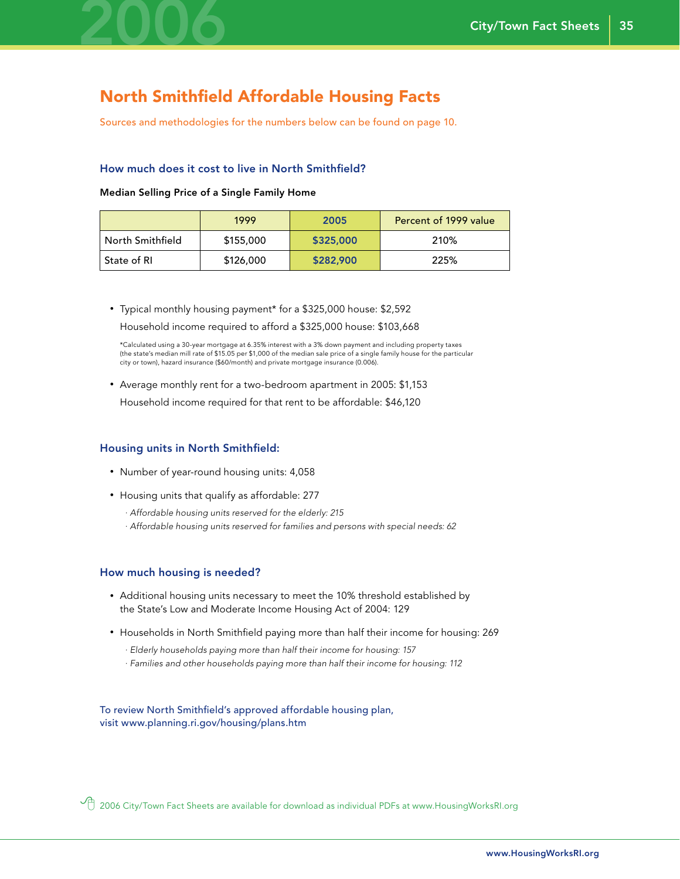

### North Smithfield Affordable Housing Facts

Sources and methodologies for the numbers below can be found on page 10.

#### How much does it cost to live in North Smithfield?

#### Median Selling Price of a Single Family Home

|                  | 1999      | 2005      | Percent of 1999 value |
|------------------|-----------|-----------|-----------------------|
| North Smithfield | \$155,000 | \$325,000 | 210%                  |
| State of RI      | \$126,000 | \$282,900 | 225%                  |

• Typical monthly housing payment\* for a \$325,000 house: \$2,592 Household income required to afford a \$325,000 house: \$103,668

 \*Calculated using a 30-year mortgage at 6.35% interest with a 3% down payment and including property taxes (the state's median mill rate of \$15.05 per \$1,000 of the median sale price of a single family house for the particular city or town), hazard insurance (\$60/month) and private mortgage insurance (0.006).

• Average monthly rent for a two-bedroom apartment in 2005: \$1,153

Household income required for that rent to be affordable: \$46,120

#### Housing units in North Smithfield:

- Number of year-round housing units: 4,058
- Housing units that qualify as affordable: 277
	- *· Affordable housing units reserved for the elderly: 215*
	- *· Affordable housing units reserved for families and persons with special needs: 62*

#### How much housing is needed?

- Additional housing units necessary to meet the 10% threshold established by the State's Low and Moderate Income Housing Act of 2004: 129
- Households in North Smithfield paying more than half their income for housing: 269
	- *· Elderly households paying more than half their income for housing: 157*
	- *· Families and other households paying more than half their income for housing: 112*

To review North Smithfield's approved affordable housing plan, visit www.planning.ri.gov/housing/plans.htm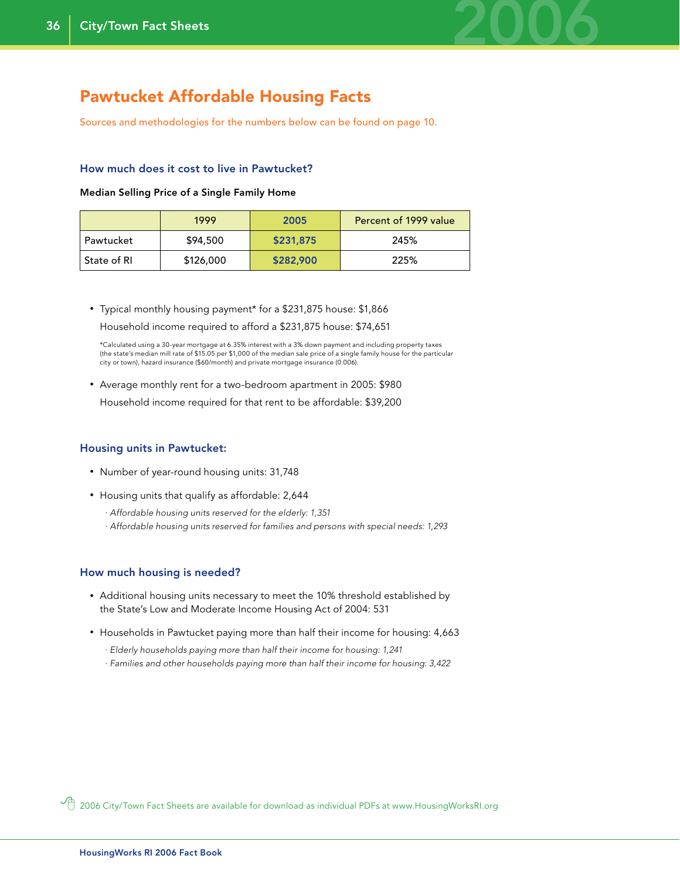

### Pawtucket Affordable Housing Facts

Sources and methodologies for the numbers below can be found on page 10.

#### How much does it cost to live in Pawtucket?

Median Selling Price of a Single Family Home

|               | 1999      | 2005      | Percent of 1999 value |
|---------------|-----------|-----------|-----------------------|
| Pawtucket     | \$94,500  | \$231,875 | 245%                  |
| ' State of RI | \$126,000 | \$282,900 | 225%                  |

• Typical monthly housing payment\* for a \$231,875 house: \$1,866 Household income required to afford a \$231,875 house: \$74,651

 \*Calculated using a 30-year mortgage at 6.35% interest with a 3% down payment and including property taxes (the state's median mill rate of \$15.05 per \$1,000 of the median sale price of a single family house for the particular city or town), hazard insurance (\$60/month) and private mortgage insurance (0.006).

• Average monthly rent for a two-bedroom apartment in 2005: \$980 Household income required for that rent to be affordable: \$39,200

#### Housing units in Pawtucket:

- Number of year-round housing units: 31,748
- Housing units that qualify as affordable: 2,644
	- *· Affordable housing units reserved for the elderly: 1,351*
	- *· Affordable housing units reserved for families and persons with special needs: 1,293*

#### How much housing is needed?

- Additional housing units necessary to meet the 10% threshold established by the State's Low and Moderate Income Housing Act of 2004: 531
- Households in Pawtucket paying more than half their income for housing: 4,663
	- *· Elderly households paying more than half their income for housing: 1,241*
	- *· Families and other households paying more than half their income for housing: 3,422*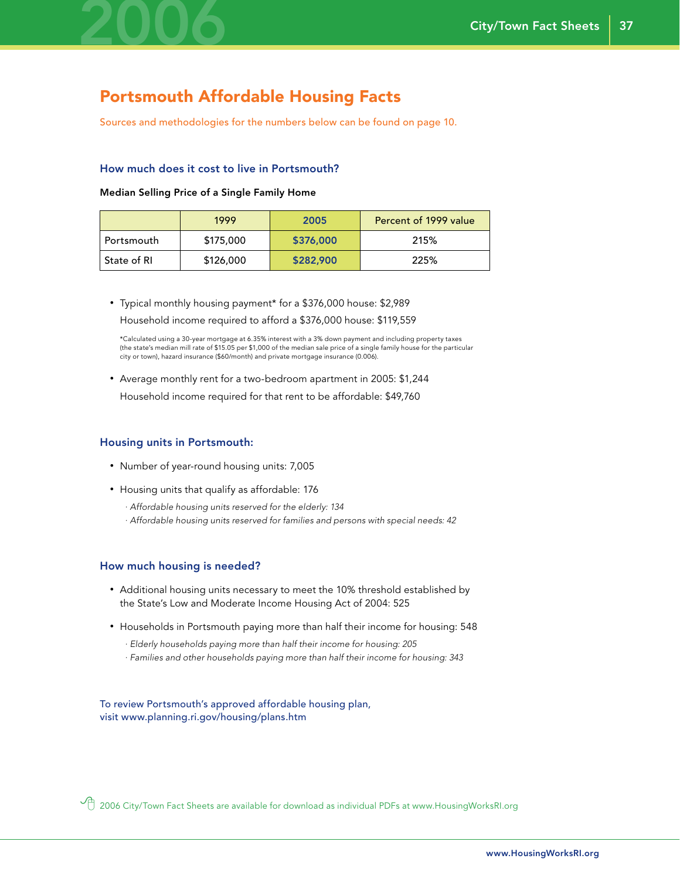

### Portsmouth Affordable Housing Facts

Sources and methodologies for the numbers below can be found on page 10.

#### How much does it cost to live in Portsmouth?

#### Median Selling Price of a Single Family Home

|               | 1999      | 2005      | Percent of 1999 value |
|---------------|-----------|-----------|-----------------------|
| Portsmouth    | \$175,000 | \$376,000 | 215%                  |
| ' State of RI | \$126,000 | \$282,900 | 225%                  |

• Typical monthly housing payment\* for a \$376,000 house: \$2,989

Household income required to afford a \$376,000 house: \$119,559

 \*Calculated using a 30-year mortgage at 6.35% interest with a 3% down payment and including property taxes (the state's median mill rate of \$15.05 per \$1,000 of the median sale price of a single family house for the particular city or town), hazard insurance (\$60/month) and private mortgage insurance (0.006).

• Average monthly rent for a two-bedroom apartment in 2005: \$1,244 Household income required for that rent to be affordable: \$49,760

#### Housing units in Portsmouth:

- Number of year-round housing units: 7,005
- Housing units that qualify as affordable: 176
	- *· Affordable housing units reserved for the elderly: 134*
	- *· Affordable housing units reserved for families and persons with special needs: 42*

#### How much housing is needed?

- Additional housing units necessary to meet the 10% threshold established by the State's Low and Moderate Income Housing Act of 2004: 525
- Households in Portsmouth paying more than half their income for housing: 548
	- *· Elderly households paying more than half their income for housing: 205*
	- *· Families and other households paying more than half their income for housing: 343*

To review Portsmouth's approved affordable housing plan, visit www.planning.ri.gov/housing/plans.htm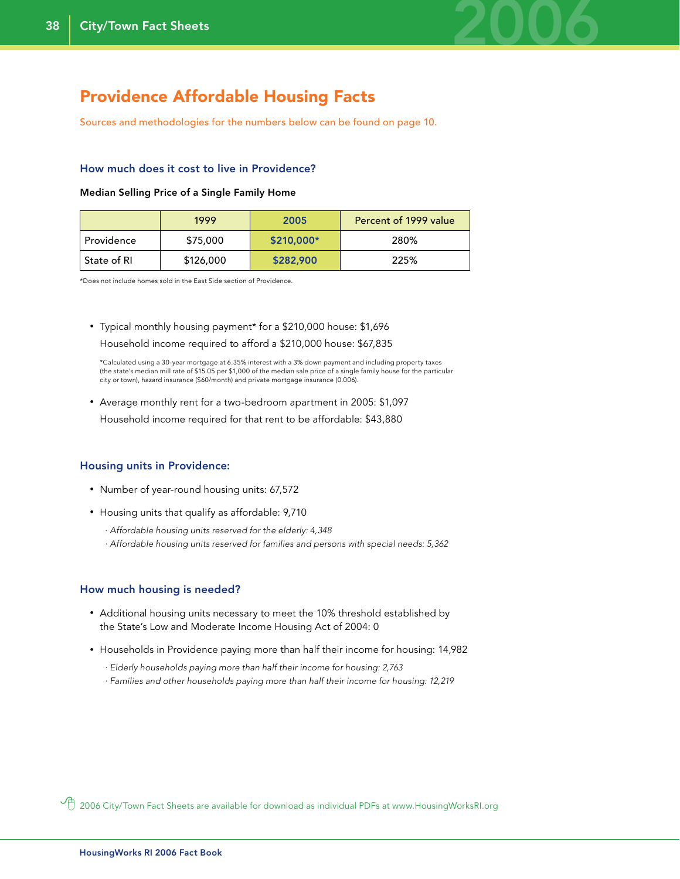

### Providence Affordable Housing Facts

Sources and methodologies for the numbers below can be found on page 10.

#### How much does it cost to live in Providence?

#### Median Selling Price of a Single Family Home

|               | 1999      | 2005       | Percent of 1999 value |
|---------------|-----------|------------|-----------------------|
| Providence    | \$75,000  | \$210,000* | 280%                  |
| ' State of RI | \$126,000 | \$282,900  | 225%                  |

\*Does not include homes sold in the East Side section of Providence.

#### • Typical monthly housing payment\* for a \$210,000 house: \$1,696

Household income required to afford a \$210,000 house: \$67,835

 \*Calculated using a 30-year mortgage at 6.35% interest with a 3% down payment and including property taxes (the state's median mill rate of \$15.05 per \$1,000 of the median sale price of a single family house for the particular city or town), hazard insurance (\$60/month) and private mortgage insurance (0.006).

• Average monthly rent for a two-bedroom apartment in 2005: \$1,097

Household income required for that rent to be affordable: \$43,880

#### Housing units in Providence:

- Number of year-round housing units: 67,572
- Housing units that qualify as affordable: 9,710
	- *· Affordable housing units reserved for the elderly: 4,348*
	- *· Affordable housing units reserved for families and persons with special needs: 5,362*

#### How much housing is needed?

- Additional housing units necessary to meet the 10% threshold established by the State's Low and Moderate Income Housing Act of 2004: 0
- Households in Providence paying more than half their income for housing: 14,982
	- *· Elderly households paying more than half their income for housing: 2,763*
	- *· Families and other households paying more than half their income for housing: 12,219*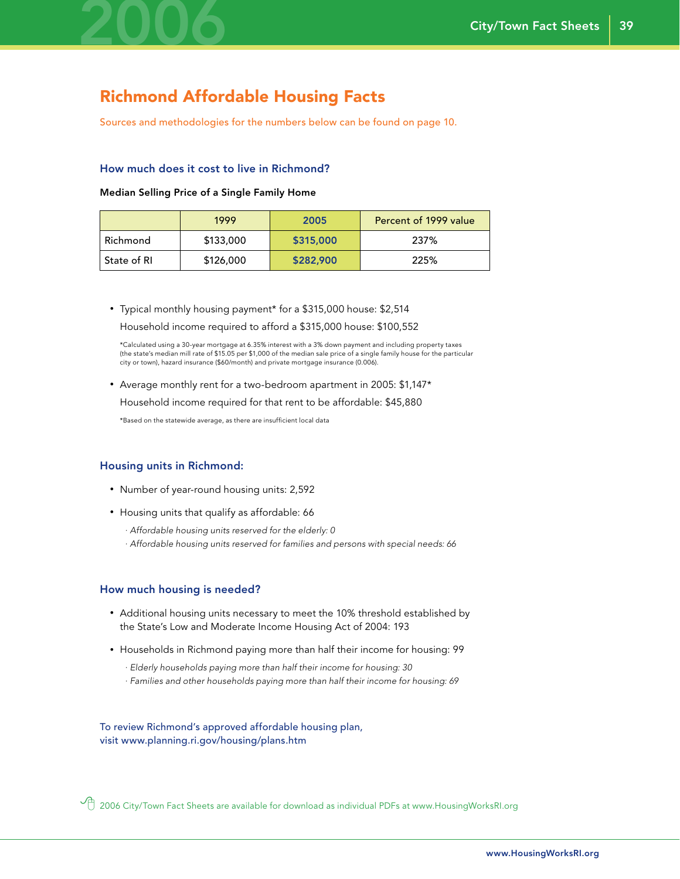

## Richmond Affordable Housing Facts

Sources and methodologies for the numbers below can be found on page 10.

#### How much does it cost to live in Richmond?

#### Median Selling Price of a Single Family Home

|             | 1999      | 2005      | Percent of 1999 value |
|-------------|-----------|-----------|-----------------------|
| Richmond    | \$133,000 | \$315,000 | 237%                  |
| State of RI | \$126,000 | \$282,900 | 225%                  |

• Typical monthly housing payment\* for a \$315,000 house: \$2,514 Household income required to afford a \$315,000 house: \$100,552

 \*Calculated using a 30-year mortgage at 6.35% interest with a 3% down payment and including property taxes (the state's median mill rate of \$15.05 per \$1,000 of the median sale price of a single family house for the particular city or town), hazard insurance (\$60/month) and private mortgage insurance (0.006).

• Average monthly rent for a two-bedroom apartment in 2005: \$1,147\*

Household income required for that rent to be affordable: \$45,880

\*Based on the statewide average, as there are insufficient local data

#### Housing units in Richmond:

- Number of year-round housing units: 2,592
- Housing units that qualify as affordable: 66
	- *· Affordable housing units reserved for the elderly: 0*
	- *· Affordable housing units reserved for families and persons with special needs: 66*

#### How much housing is needed?

- Additional housing units necessary to meet the 10% threshold established by the State's Low and Moderate Income Housing Act of 2004: 193
- Households in Richmond paying more than half their income for housing: 99
	- *· Elderly households paying more than half their income for housing: 30*
	- *· Families and other households paying more than half their income for housing: 69*

To review Richmond's approved affordable housing plan, visit www.planning.ri.gov/housing/plans.htm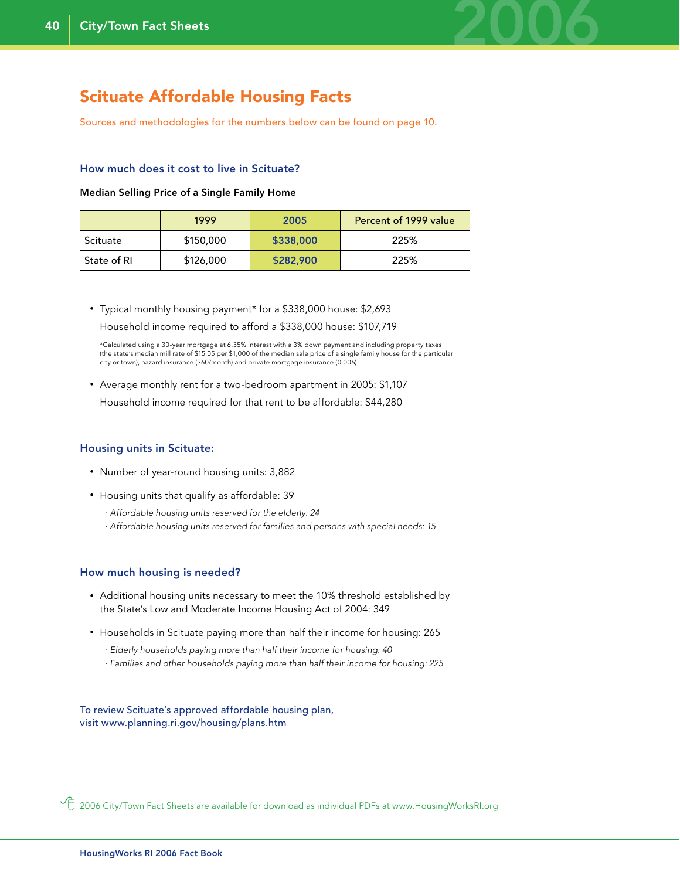

### Scituate Affordable Housing Facts

Sources and methodologies for the numbers below can be found on page 10.

#### How much does it cost to live in Scituate?

#### Median Selling Price of a Single Family Home

|              | 1999      | 2005      | Percent of 1999 value |
|--------------|-----------|-----------|-----------------------|
| Scituate     | \$150,000 | \$338,000 | 225%                  |
| -State of RI | \$126,000 | \$282,900 | 225%                  |

• Typical monthly housing payment\* for a \$338,000 house: \$2,693 Household income required to afford a \$338,000 house: \$107,719

 \*Calculated using a 30-year mortgage at 6.35% interest with a 3% down payment and including property taxes (the state's median mill rate of \$15.05 per \$1,000 of the median sale price of a single family house for the particular city or town), hazard insurance (\$60/month) and private mortgage insurance (0.006).

- Average monthly rent for a two-bedroom apartment in 2005: \$1,107
- Household income required for that rent to be affordable: \$44,280

#### Housing units in Scituate:

- Number of year-round housing units: 3,882
- Housing units that qualify as affordable: 39
	- *· Affordable housing units reserved for the elderly: 24*
	- *· Affordable housing units reserved for families and persons with special needs: 15*

#### How much housing is needed?

- Additional housing units necessary to meet the 10% threshold established by the State's Low and Moderate Income Housing Act of 2004: 349
- Households in Scituate paying more than half their income for housing: 265
	- *· Elderly households paying more than half their income for housing: 40*
	- *· Families and other households paying more than half their income for housing: 225*

To review Scituate's approved affordable housing plan, visit www.planning.ri.gov/housing/plans.htm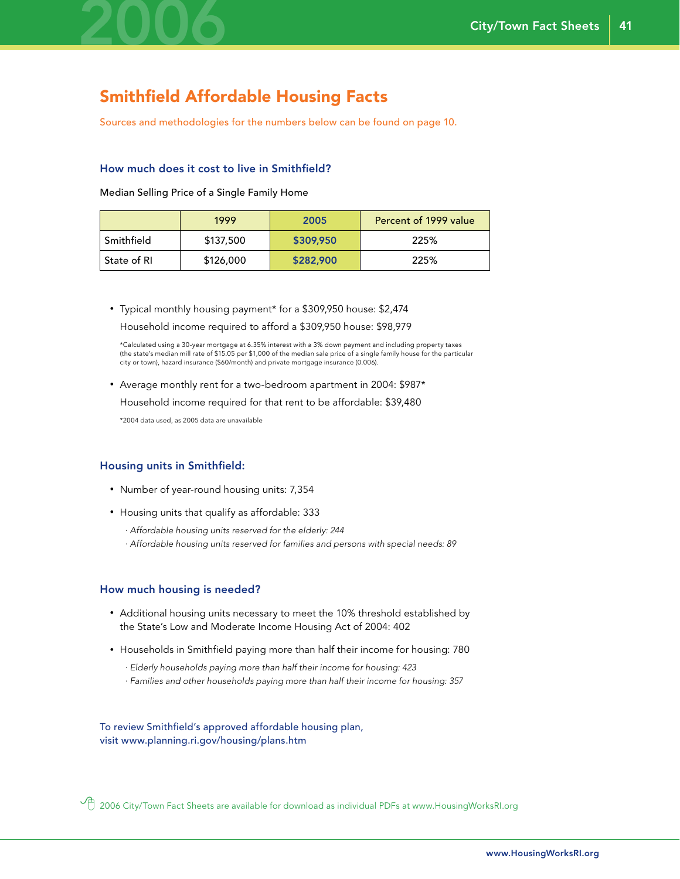

## Smithfield Affordable Housing Facts

Sources and methodologies for the numbers below can be found on page 10.

#### How much does it cost to live in Smithfield?

Median Selling Price of a Single Family Home

|              | 1999      | 2005      | Percent of 1999 value |
|--------------|-----------|-----------|-----------------------|
| Smithfield   | \$137,500 | \$309,950 | 225%                  |
| -State of RI | \$126,000 | \$282,900 | 225%                  |

• Typical monthly housing payment\* for a \$309,950 house: \$2,474 Household income required to afford a \$309,950 house: \$98,979

 \*Calculated using a 30-year mortgage at 6.35% interest with a 3% down payment and including property taxes (the state's median mill rate of \$15.05 per \$1,000 of the median sale price of a single family house for the particular city or town), hazard insurance (\$60/month) and private mortgage insurance (0.006).

• Average monthly rent for a two-bedroom apartment in 2004: \$987\*

Household income required for that rent to be affordable: \$39,480

\*2004 data used, as 2005 data are unavailable

#### Housing units in Smithfield:

- Number of year-round housing units: 7,354
- Housing units that qualify as affordable: 333
	- *· Affordable housing units reserved for the elderly: 244*
	- *· Affordable housing units reserved for families and persons with special needs: 89*

#### How much housing is needed?

- Additional housing units necessary to meet the 10% threshold established by the State's Low and Moderate Income Housing Act of 2004: 402
- Households in Smithfield paying more than half their income for housing: 780
	- *· Elderly households paying more than half their income for housing: 423*
	- *· Families and other households paying more than half their income for housing: 357*

To review Smithfield's approved affordable housing plan, visit www.planning.ri.gov/housing/plans.htm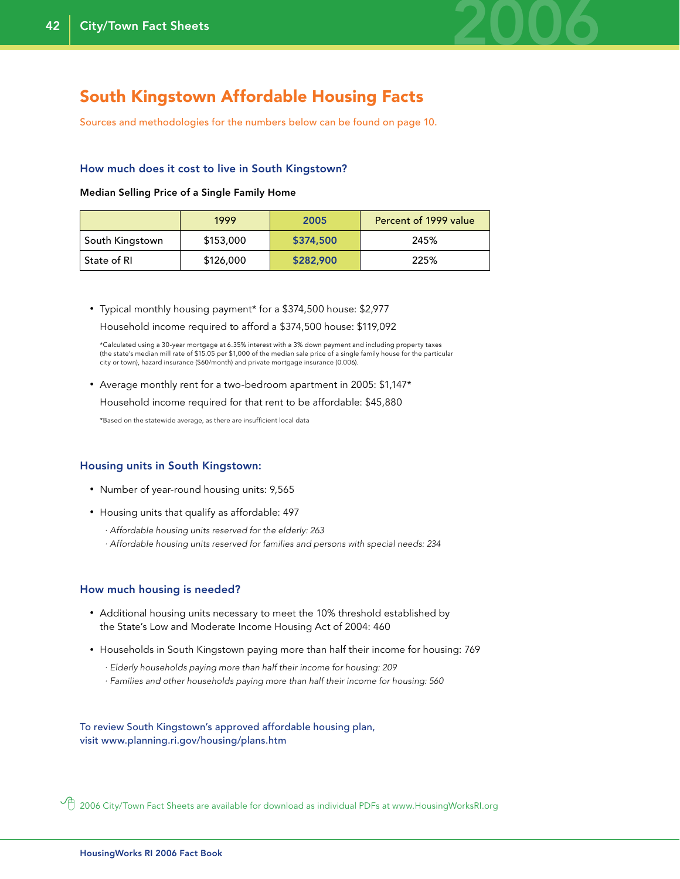

### South Kingstown Affordable Housing Facts

Sources and methodologies for the numbers below can be found on page 10.

#### How much does it cost to live in South Kingstown?

#### Median Selling Price of a Single Family Home

|                 | 1999      | 2005      | Percent of 1999 value |
|-----------------|-----------|-----------|-----------------------|
| South Kingstown | \$153,000 | \$374,500 | 245%                  |
| State of RI     | \$126,000 | \$282,900 | 225%                  |

• Typical monthly housing payment\* for a \$374,500 house: \$2,977 Household income required to afford a \$374,500 house: \$119,092

 \*Calculated using a 30-year mortgage at 6.35% interest with a 3% down payment and including property taxes (the state's median mill rate of \$15.05 per \$1,000 of the median sale price of a single family house for the particular city or town), hazard insurance (\$60/month) and private mortgage insurance (0.006).

• Average monthly rent for a two-bedroom apartment in 2005: \$1,147\*

Household income required for that rent to be affordable: \$45,880

\*Based on the statewide average, as there are insufficient local data

#### Housing units in South Kingstown:

- Number of year-round housing units: 9,565
- Housing units that qualify as affordable: 497
	- *· Affordable housing units reserved for the elderly: 263*
	- *· Affordable housing units reserved for families and persons with special needs: 234*

#### How much housing is needed?

- Additional housing units necessary to meet the 10% threshold established by the State's Low and Moderate Income Housing Act of 2004: 460
- Households in South Kingstown paying more than half their income for housing: 769
	- *· Elderly households paying more than half their income for housing: 209*
	- *· Families and other households paying more than half their income for housing: 560*

To review South Kingstown's approved affordable housing plan, visit www.planning.ri.gov/housing/plans.htm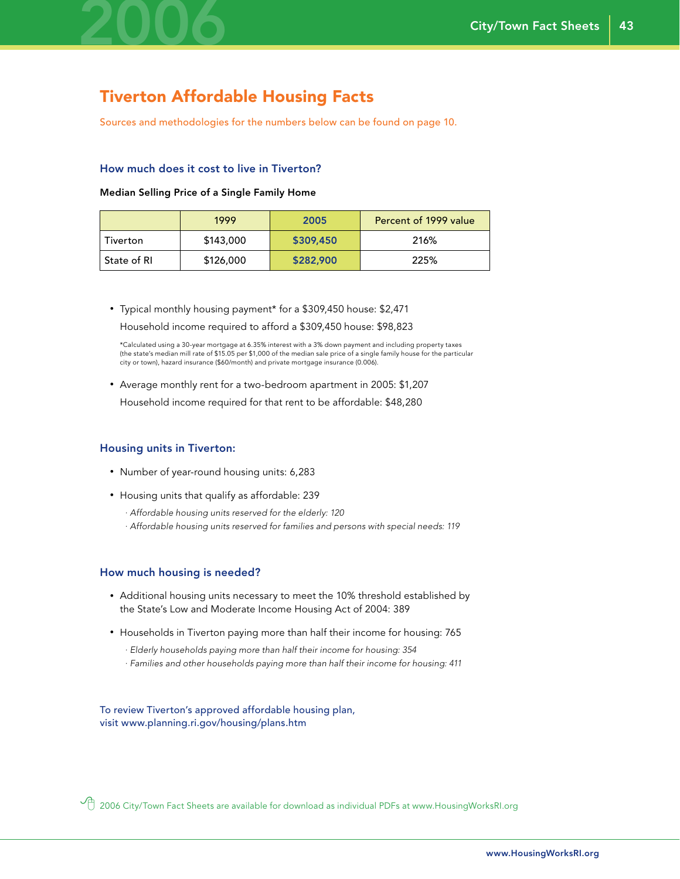

## Tiverton Affordable Housing Facts

Sources and methodologies for the numbers below can be found on page 10.

#### How much does it cost to live in Tiverton?

#### Median Selling Price of a Single Family Home

|             | 1999      | 2005      | Percent of 1999 value |
|-------------|-----------|-----------|-----------------------|
| Tiverton    | \$143,000 | \$309,450 | 216%                  |
| State of RI | \$126,000 | \$282,900 | 225%                  |

• Typical monthly housing payment\* for a \$309,450 house: \$2,471

Household income required to afford a \$309,450 house: \$98,823

 \*Calculated using a 30-year mortgage at 6.35% interest with a 3% down payment and including property taxes (the state's median mill rate of \$15.05 per \$1,000 of the median sale price of a single family house for the particular city or town), hazard insurance (\$60/month) and private mortgage insurance (0.006).

• Average monthly rent for a two-bedroom apartment in 2005: \$1,207

Household income required for that rent to be affordable: \$48,280

#### Housing units in Tiverton:

- Number of year-round housing units: 6,283
- Housing units that qualify as affordable: 239
	- *· Affordable housing units reserved for the elderly: 120*
	- *· Affordable housing units reserved for families and persons with special needs: 119*

#### How much housing is needed?

- Additional housing units necessary to meet the 10% threshold established by the State's Low and Moderate Income Housing Act of 2004: 389
- Households in Tiverton paying more than half their income for housing: 765
	- *· Elderly households paying more than half their income for housing: 354*
	- *· Families and other households paying more than half their income for housing: 411*

To review Tiverton's approved affordable housing plan, visit www.planning.ri.gov/housing/plans.htm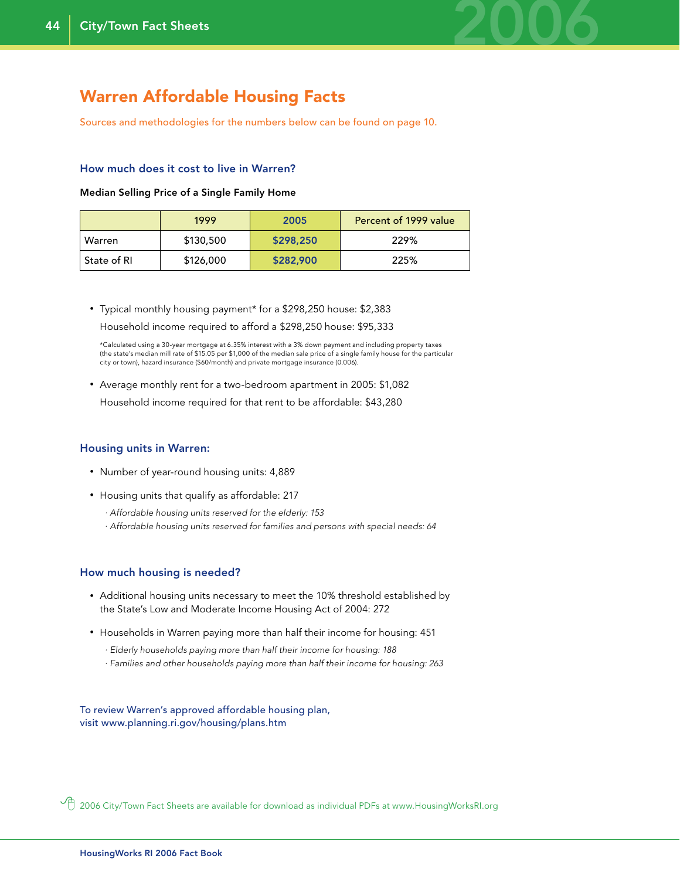

### Warren Affordable Housing Facts

Sources and methodologies for the numbers below can be found on page 10.

#### How much does it cost to live in Warren?

#### Median Selling Price of a Single Family Home

|               | 1999      | 2005      | Percent of 1999 value |
|---------------|-----------|-----------|-----------------------|
| Warren        | \$130,500 | \$298,250 | 229%                  |
| ' State of RI | \$126,000 | \$282,900 | 225%                  |

• Typical monthly housing payment\* for a \$298,250 house: \$2,383 Household income required to afford a \$298,250 house: \$95,333

 \*Calculated using a 30-year mortgage at 6.35% interest with a 3% down payment and including property taxes (the state's median mill rate of \$15.05 per \$1,000 of the median sale price of a single family house for the particular city or town), hazard insurance (\$60/month) and private mortgage insurance (0.006).

• Average monthly rent for a two-bedroom apartment in 2005: \$1,082 Household income required for that rent to be affordable: \$43,280

#### Housing units in Warren:

- Number of year-round housing units: 4,889
- Housing units that qualify as affordable: 217
	- *· Affordable housing units reserved for the elderly: 153*
	- *· Affordable housing units reserved for families and persons with special needs: 64*

#### How much housing is needed?

- Additional housing units necessary to meet the 10% threshold established by the State's Low and Moderate Income Housing Act of 2004: 272
- Households in Warren paying more than half their income for housing: 451
	- *· Elderly households paying more than half their income for housing: 188*
	- *· Families and other households paying more than half their income for housing: 263*

To review Warren's approved affordable housing plan, visit www.planning.ri.gov/housing/plans.htm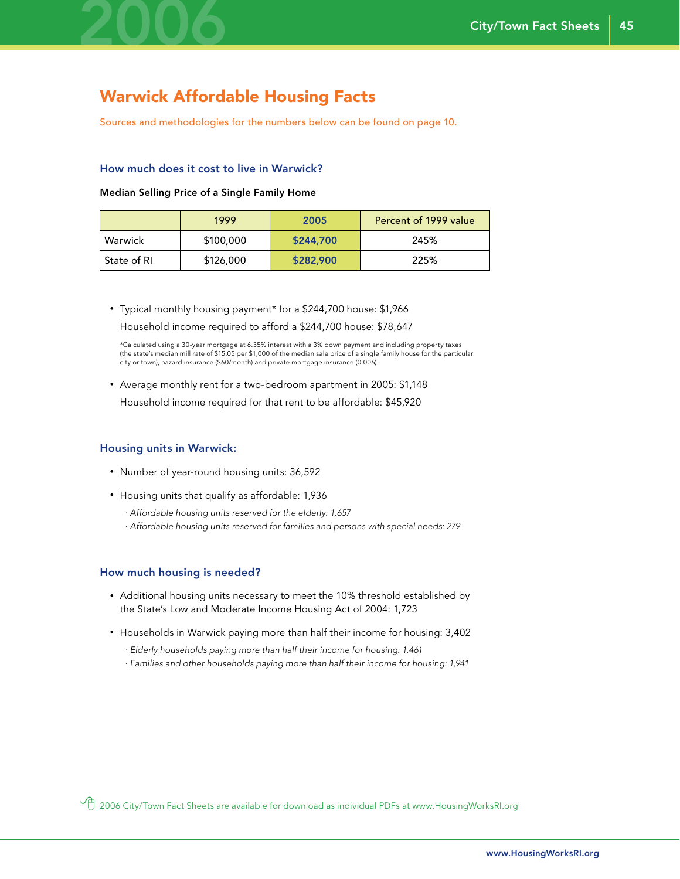

### Warwick Affordable Housing Facts

Sources and methodologies for the numbers below can be found on page 10.

#### How much does it cost to live in Warwick?

#### Median Selling Price of a Single Family Home

|             | 1999      | 2005      | Percent of 1999 value |
|-------------|-----------|-----------|-----------------------|
| Warwick     | \$100,000 | \$244,700 | 245%                  |
| State of RI | \$126,000 | \$282,900 | 225%                  |

• Typical monthly housing payment\* for a \$244,700 house: \$1,966 Household income required to afford a \$244,700 house: \$78,647

 \*Calculated using a 30-year mortgage at 6.35% interest with a 3% down payment and including property taxes (the state's median mill rate of \$15.05 per \$1,000 of the median sale price of a single family house for the particular city or town), hazard insurance (\$60/month) and private mortgage insurance (0.006).

• Average monthly rent for a two-bedroom apartment in 2005: \$1,148 Household income required for that rent to be affordable: \$45,920

#### Housing units in Warwick:

- Number of year-round housing units: 36,592
- Housing units that qualify as affordable: 1,936
	- *· Affordable housing units reserved for the elderly: 1,657*
	- *· Affordable housing units reserved for families and persons with special needs: 279*

#### How much housing is needed?

- Additional housing units necessary to meet the 10% threshold established by the State's Low and Moderate Income Housing Act of 2004: 1,723
- Households in Warwick paying more than half their income for housing: 3,402
	- *· Elderly households paying more than half their income for housing: 1,461*
	- *· Families and other households paying more than half their income for housing: 1,941*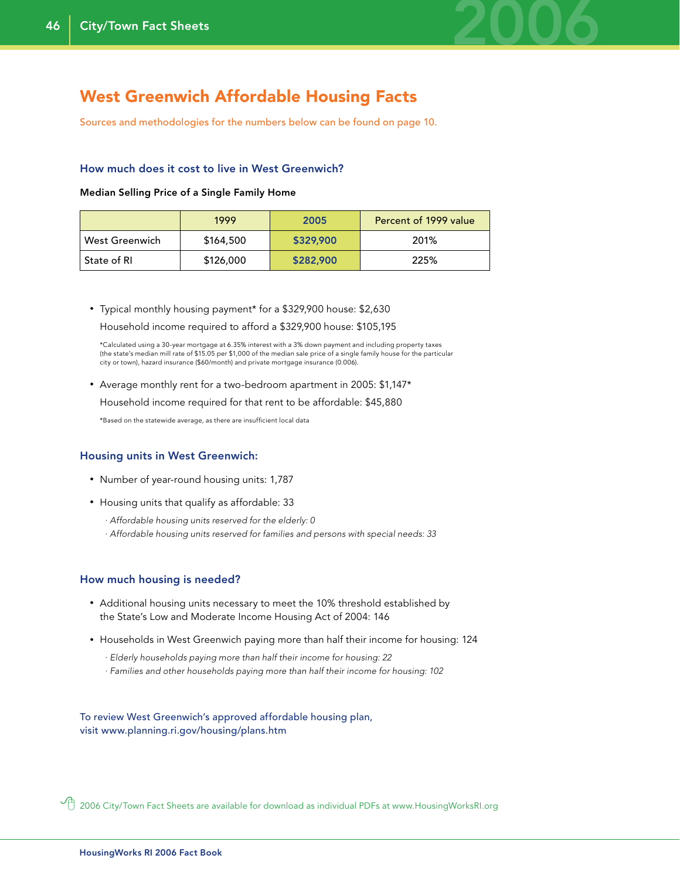

### West Greenwich Affordable Housing Facts

Sources and methodologies for the numbers below can be found on page 10.

#### How much does it cost to live in West Greenwich?

#### Median Selling Price of a Single Family Home

|                | 1999      | 2005      | Percent of 1999 value |
|----------------|-----------|-----------|-----------------------|
| West Greenwich | \$164,500 | \$329,900 | 201%                  |
| ' State of RI  | \$126,000 | \$282,900 | 225%                  |

• Typical monthly housing payment\* for a \$329,900 house: \$2,630 Household income required to afford a \$329,900 house: \$105,195

 \*Calculated using a 30-year mortgage at 6.35% interest with a 3% down payment and including property taxes (the state's median mill rate of \$15.05 per \$1,000 of the median sale price of a single family house for the particular city or town), hazard insurance (\$60/month) and private mortgage insurance (0.006).

• Average monthly rent for a two-bedroom apartment in 2005: \$1,147\*

Household income required for that rent to be affordable: \$45,880

\*Based on the statewide average, as there are insufficient local data

#### Housing units in West Greenwich:

- Number of year-round housing units: 1,787
- Housing units that qualify as affordable: 33
	- *· Affordable housing units reserved for the elderly: 0*
	- *· Affordable housing units reserved for families and persons with special needs: 33*

#### How much housing is needed?

- Additional housing units necessary to meet the 10% threshold established by the State's Low and Moderate Income Housing Act of 2004: 146
- Households in West Greenwich paying more than half their income for housing: 124
	- *· Elderly households paying more than half their income for housing: 22*
	- *· Families and other households paying more than half their income for housing: 102*

To review West Greenwich's approved affordable housing plan, visit www.planning.ri.gov/housing/plans.htm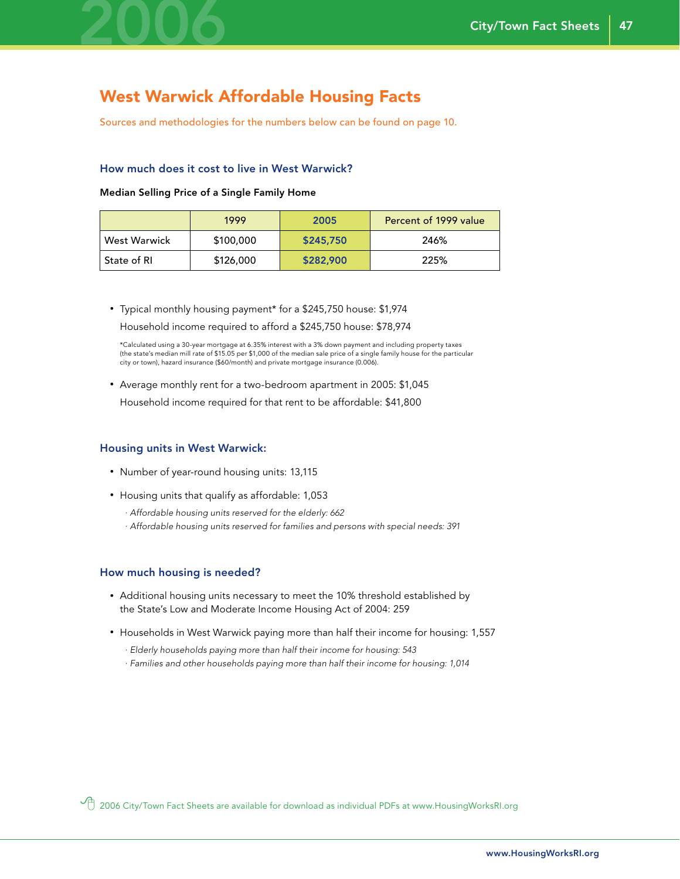

### West Warwick Affordable Housing Facts

Sources and methodologies for the numbers below can be found on page 10.

#### How much does it cost to live in West Warwick?

Median Selling Price of a Single Family Home

|               | 1999      | 2005      | Percent of 1999 value |
|---------------|-----------|-----------|-----------------------|
| West Warwick  | \$100,000 | \$245,750 | 246%                  |
| ' State of RI | \$126,000 | \$282,900 | 225%                  |

• Typical monthly housing payment\* for a \$245,750 house: \$1,974 Household income required to afford a \$245,750 house: \$78,974

 \*Calculated using a 30-year mortgage at 6.35% interest with a 3% down payment and including property taxes (the state's median mill rate of \$15.05 per \$1,000 of the median sale price of a single family house for the particular city or town), hazard insurance (\$60/month) and private mortgage insurance (0.006).

• Average monthly rent for a two-bedroom apartment in 2005: \$1,045

Household income required for that rent to be affordable: \$41,800

#### Housing units in West Warwick:

- Number of year-round housing units: 13,115
- Housing units that qualify as affordable: 1,053
	- *· Affordable housing units reserved for the elderly: 662*
	- *· Affordable housing units reserved for families and persons with special needs: 391*

#### How much housing is needed?

- Additional housing units necessary to meet the 10% threshold established by the State's Low and Moderate Income Housing Act of 2004: 259
- Households in West Warwick paying more than half their income for housing: 1,557
	- *· Elderly households paying more than half their income for housing: 543*
	- *· Families and other households paying more than half their income for housing: 1,014*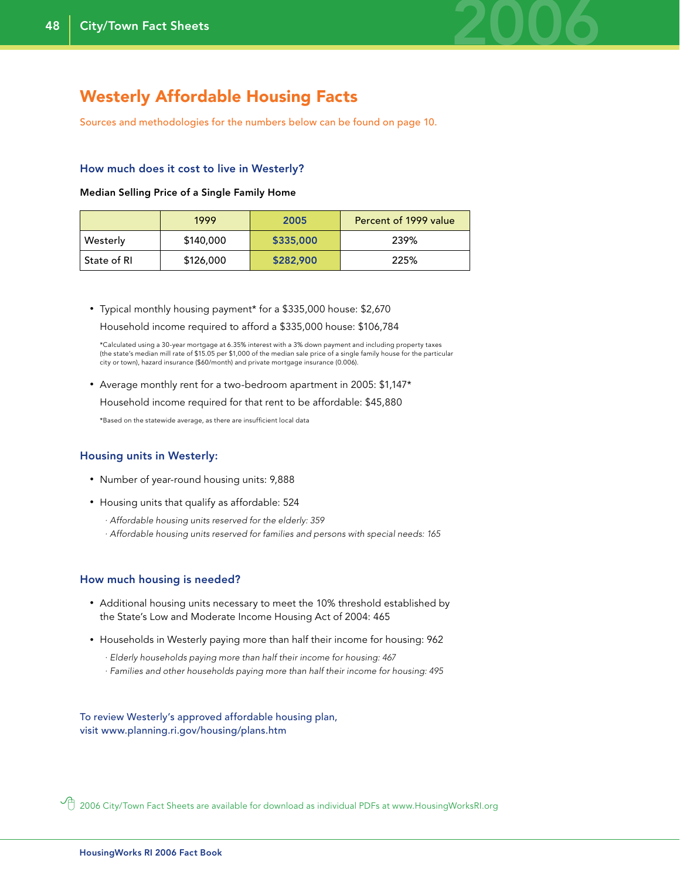

### Westerly Affordable Housing Facts

Sources and methodologies for the numbers below can be found on page 10.

#### How much does it cost to live in Westerly?

#### Median Selling Price of a Single Family Home

|             | 1999      | 2005      | Percent of 1999 value |
|-------------|-----------|-----------|-----------------------|
| Westerly    | \$140,000 | \$335,000 | 239%                  |
| State of RI | \$126,000 | \$282,900 | 225%                  |

• Typical monthly housing payment\* for a \$335,000 house: \$2,670 Household income required to afford a \$335,000 house: \$106,784

 \*Calculated using a 30-year mortgage at 6.35% interest with a 3% down payment and including property taxes (the state's median mill rate of \$15.05 per \$1,000 of the median sale price of a single family house for the particular city or town), hazard insurance (\$60/month) and private mortgage insurance (0.006).

• Average monthly rent for a two-bedroom apartment in 2005: \$1,147\*

Household income required for that rent to be affordable: \$45,880

\*Based on the statewide average, as there are insufficient local data

#### Housing units in Westerly:

- Number of year-round housing units: 9,888
- Housing units that qualify as affordable: 524
	- *· Affordable housing units reserved for the elderly: 359*
	- *· Affordable housing units reserved for families and persons with special needs: 165*

#### How much housing is needed?

- Additional housing units necessary to meet the 10% threshold established by the State's Low and Moderate Income Housing Act of 2004: 465
- Households in Westerly paying more than half their income for housing: 962
	- *· Elderly households paying more than half their income for housing: 467*
	- *· Families and other households paying more than half their income for housing: 495*

To review Westerly's approved affordable housing plan, visit www.planning.ri.gov/housing/plans.htm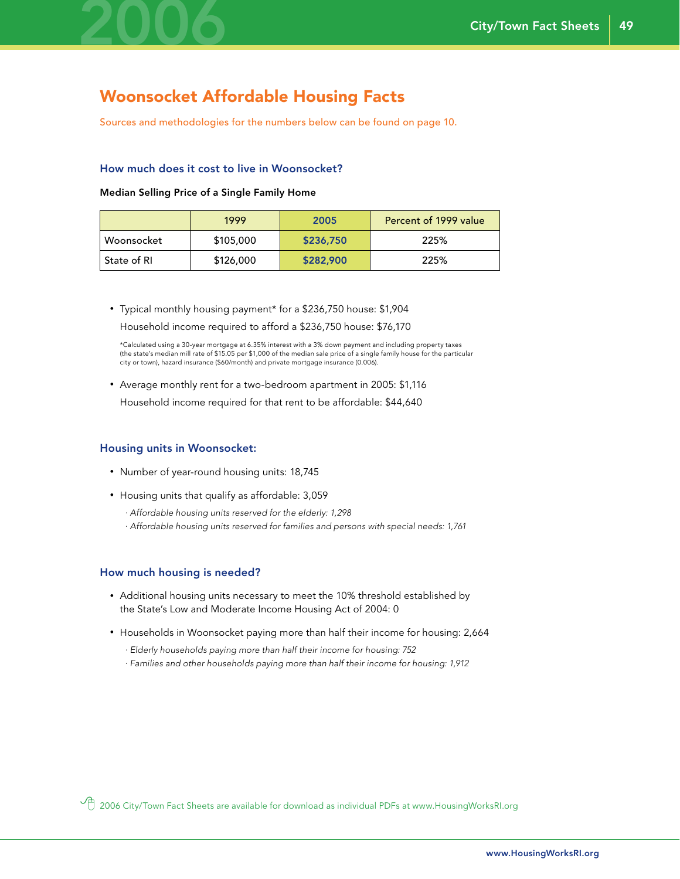

### Woonsocket Affordable Housing Facts

Sources and methodologies for the numbers below can be found on page 10.

#### How much does it cost to live in Woonsocket?

Median Selling Price of a Single Family Home

|             | 1999      | 2005      | Percent of 1999 value |
|-------------|-----------|-----------|-----------------------|
| Woonsocket  | \$105,000 | \$236,750 | 225%                  |
| State of RI | \$126,000 | \$282,900 | 225%                  |

• Typical monthly housing payment\* for a \$236,750 house: \$1,904 Household income required to afford a \$236,750 house: \$76,170

 \*Calculated using a 30-year mortgage at 6.35% interest with a 3% down payment and including property taxes (the state's median mill rate of \$15.05 per \$1,000 of the median sale price of a single family house for the particular city or town), hazard insurance (\$60/month) and private mortgage insurance (0.006).

• Average monthly rent for a two-bedroom apartment in 2005: \$1,116

Household income required for that rent to be affordable: \$44,640

#### Housing units in Woonsocket:

- Number of year-round housing units: 18,745
- Housing units that qualify as affordable: 3,059
	- *· Affordable housing units reserved for the elderly: 1,298*
	- *· Affordable housing units reserved for families and persons with special needs: 1,761*

#### How much housing is needed?

- Additional housing units necessary to meet the 10% threshold established by the State's Low and Moderate Income Housing Act of 2004: 0
- Households in Woonsocket paying more than half their income for housing: 2,664
	- *· Elderly households paying more than half their income for housing: 752*
	- *· Families and other households paying more than half their income for housing: 1,912*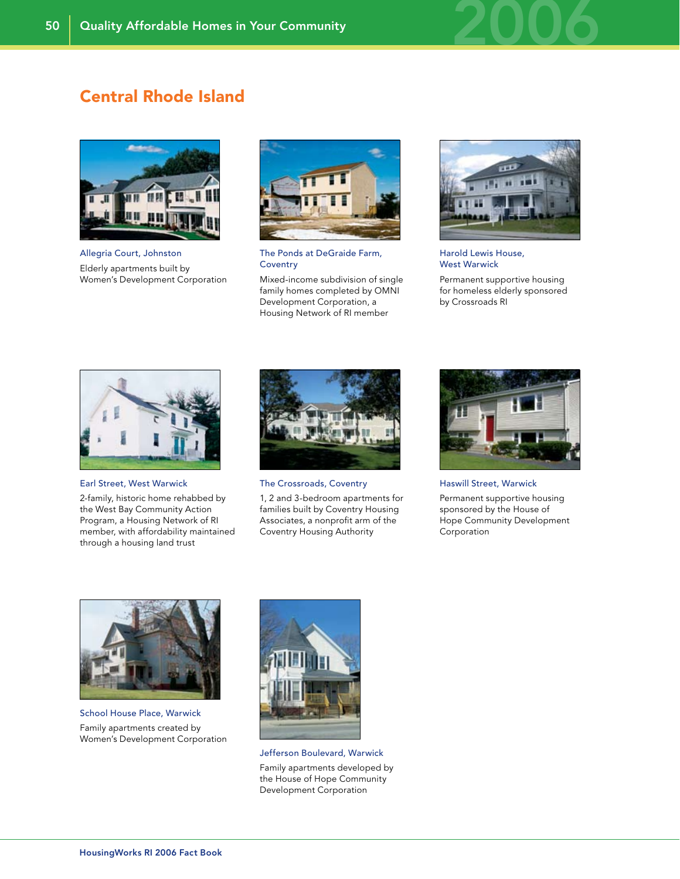

### Central Rhode Island



Allegria Court, Johnston Elderly apartments built by Women's Development Corporation



The Ponds at DeGraide Farm, **Coventry** 

Mixed-income subdivision of single family homes completed by OMNI Development Corporation, a Housing Network of RI member



Harold Lewis House, West Warwick

Permanent supportive housing for homeless elderly sponsored by Crossroads RI



Earl Street, West Warwick

2-family, historic home rehabbed by the West Bay Community Action Program, a Housing Network of RI member, with affordability maintained through a housing land trust



The Crossroads, Coventry

1, 2 and 3-bedroom apartments for families built by Coventry Housing Associates, a nonprofit arm of the Coventry Housing Authority



Haswill Street, Warwick

Permanent supportive housing sponsored by the House of Hope Community Development Corporation



School House Place, Warwick Family apartments created by Women's Development Corporation



Jefferson Boulevard, Warwick Family apartments developed by the House of Hope Community Development Corporation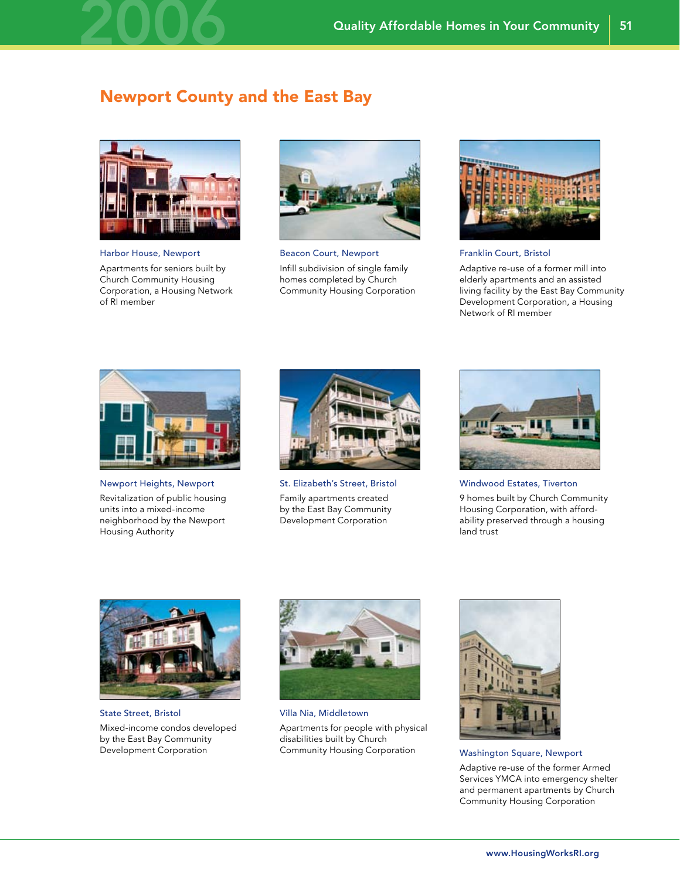### Newport County and the East Bay



2006

Harbor House, Newport

Apartments for seniors built by Church Community Housing Corporation, a Housing Network of RI member



Beacon Court, Newport Infill subdivision of single family homes completed by Church Community Housing Corporation



Franklin Court, Bristol

Adaptive re-use of a former mill into elderly apartments and an assisted living facility by the East Bay Community Development Corporation, a Housing Network of RI member



Newport Heights, Newport

Revitalization of public housing units into a mixed-income neighborhood by the Newport Housing Authority



St. Elizabeth's Street, Bristol Family apartments created by the East Bay Community Development Corporation



Windwood Estates, Tiverton

9 homes built by Church Community Housing Corporation, with affordability preserved through a housing land trust



State Street, Bristol Mixed-income condos developed by the East Bay Community Development Corporation



Villa Nia, Middletown Apartments for people with physical disabilities built by Church Community Housing Corporation Washington Square, Newport



Adaptive re-use of the former Armed Services YMCA into emergency shelter and permanent apartments by Church Community Housing Corporation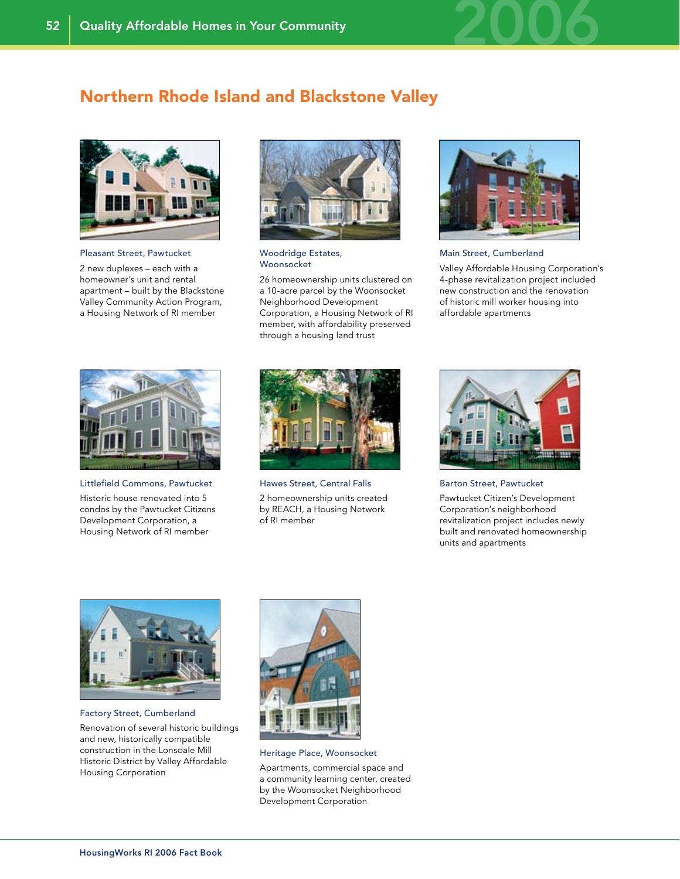

### Northern Rhode Island and Blackstone Valley



Pleasant Street, Pawtucket

2 new duplexes – each with a homeowner's unit and rental apartment – built by the Blackstone Valley Community Action Program, a Housing Network of RI member



#### Woodridge Estates, Woonsocket

26 homeownership units clustered on a 10-acre parcel by the Woonsocket Neighborhood Development Corporation, a Housing Network of RI member, with affordability preserved through a housing land trust



Main Street, Cumberland

Valley Affordable Housing Corporation's 4-phase revitalization project included new construction and the renovation of historic mill worker housing into affordable apartments



Littlefield Commons, Pawtucket

Historic house renovated into 5 condos by the Pawtucket Citizens Development Corporation, a Housing Network of RI member



Hawes Street, Central Falls

2 homeownership units created by REACH, a Housing Network of RI member



Barton Street, Pawtucket

Pawtucket Citizen's Development Corporation's neighborhood revitalization project includes newly built and renovated homeownership units and apartments



Factory Street, Cumberland

Renovation of several historic buildings and new, historically compatible construction in the Lonsdale Mill Historic District by Valley Affordable Housing Corporation



Heritage Place, Woonsocket

Apartments, commercial space and a community learning center, created by the Woonsocket Neighborhood Development Corporation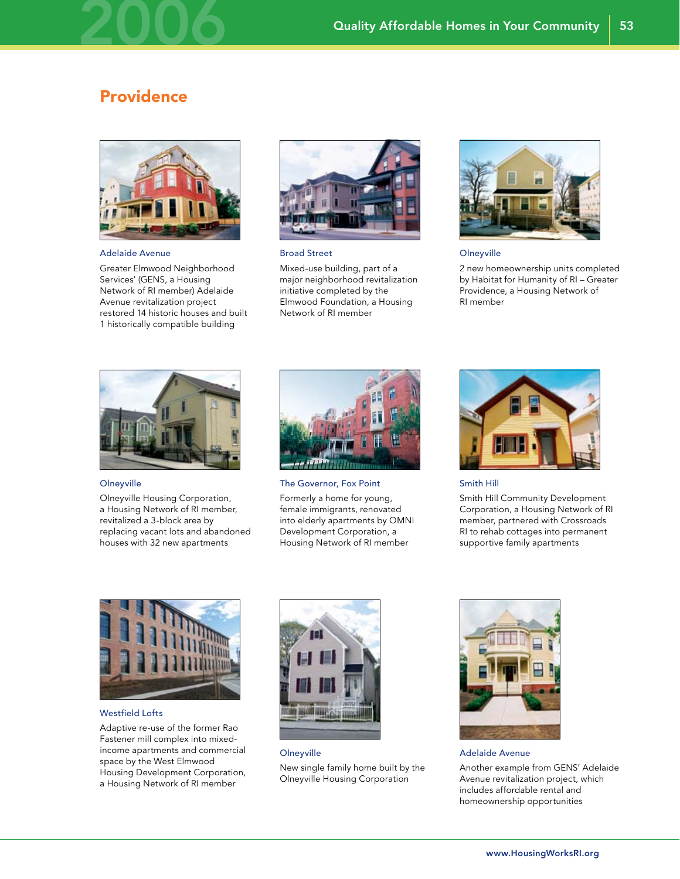### **Providence**

2006



Adelaide Avenue

Greater Elmwood Neighborhood Services' (GENS, a Housing Network of RI member) Adelaide Avenue revitalization project restored 14 historic houses and built 1 historically compatible building



Broad Street

Mixed-use building, part of a major neighborhood revitalization initiative completed by the Elmwood Foundation, a Housing Network of RI member



53

**Olneyville** 

2 new homeownership units completed by Habitat for Humanity of RI – Greater Providence, a Housing Network of RI member



**Olneyville** 

Olneyville Housing Corporation, a Housing Network of RI member, revitalized a 3-block area by replacing vacant lots and abandoned houses with 32 new apartments



The Governor, Fox Point

Formerly a home for young, female immigrants, renovated into elderly apartments by OMNI Development Corporation, a Housing Network of RI member



Smith Hill

Smith Hill Community Development Corporation, a Housing Network of RI member, partnered with Crossroads RI to rehab cottages into permanent supportive family apartments



Westfield Lofts

Adaptive re-use of the former Rao Fastener mill complex into mixedincome apartments and commercial space by the West Elmwood Housing Development Corporation, a Housing Network of RI member



**Olneyville** New single family home built by the Olneyville Housing Corporation



Adelaide Avenue Another example from GENS' Adelaide Avenue revitalization project, which includes affordable rental and homeownership opportunities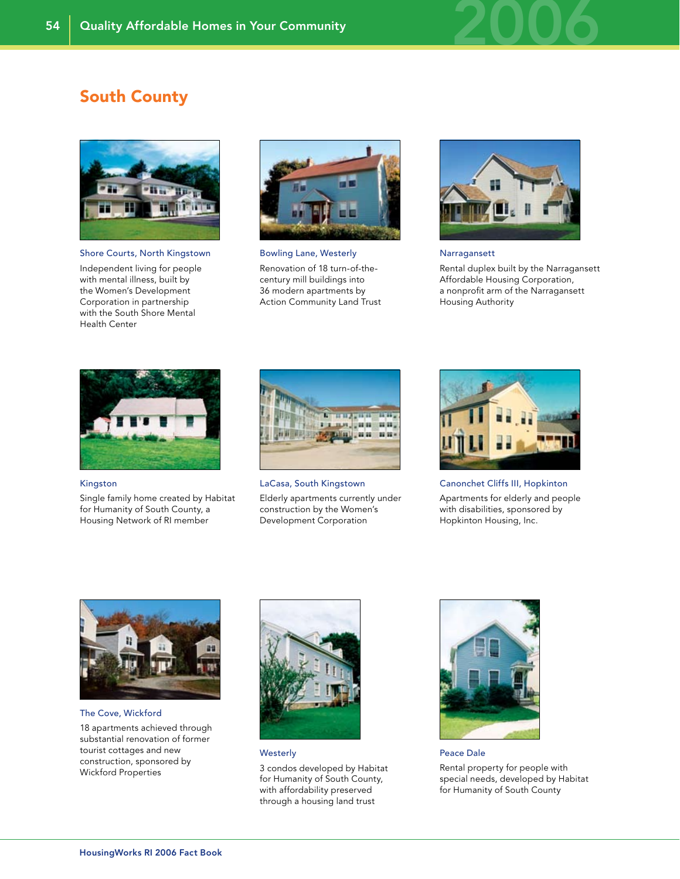

### South County



Shore Courts, North Kingstown

Independent living for people with mental illness, built by the Women's Development Corporation in partnership with the South Shore Mental Health Center



Bowling Lane, Westerly Renovation of 18 turn-of-thecentury mill buildings into 36 modern apartments by Action Community Land Trust



#### Narragansett

Rental duplex built by the Narragansett Affordable Housing Corporation, a nonprofit arm of the Narragansett Housing Authority



#### Kingston

Single family home created by Habitat for Humanity of South County, a Housing Network of RI member



LaCasa, South Kingstown

Elderly apartments currently under construction by the Women's Development Corporation



Canonchet Cliffs III, Hopkinton Apartments for elderly and people with disabilities, sponsored by Hopkinton Housing, Inc.

The Cove, Wickford

18 apartments achieved through substantial renovation of former tourist cottages and new construction, sponsored by Wickford Properties



**Westerly** 

3 condos developed by Habitat for Humanity of South County, with affordability preserved through a housing land trust



Peace Dale Rental property for people with special needs, developed by Habitat for Humanity of South County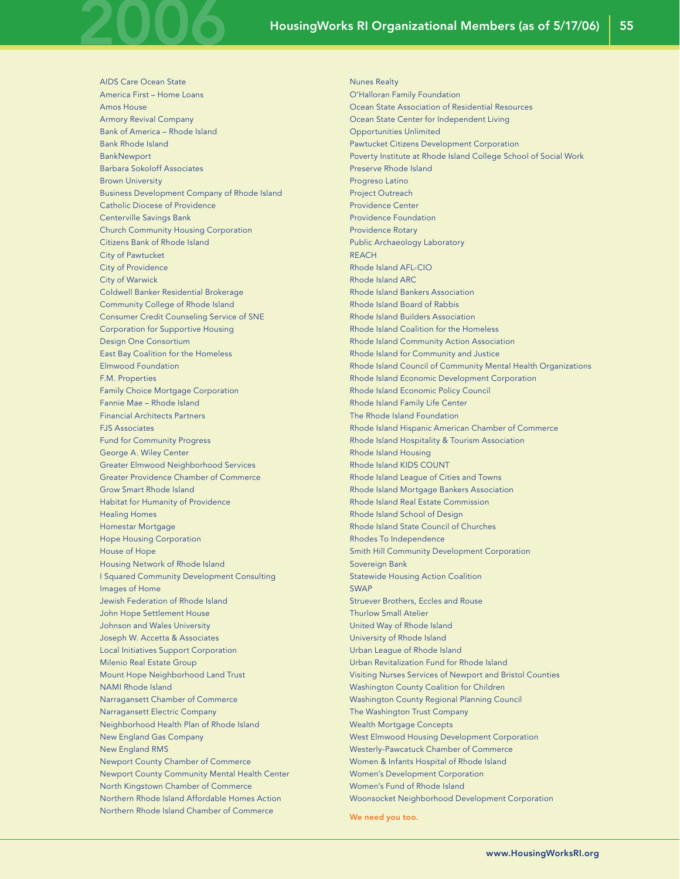AIDS Care Ocean State America First – Home Loans Amos House Armory Revival Company Bank of America – Rhode Island Bank Rhode Island **BankNewport** Barbara Sokoloff Associates Brown University Business Development Company of Rhode Island Catholic Diocese of Providence Centerville Savings Bank Church Community Housing Corporation Citizens Bank of Rhode Island City of Pawtucket City of Providence City of Warwick Coldwell Banker Residential Brokerage Community College of Rhode Island Consumer Credit Counseling Service of SNE Corporation for Supportive Housing Design One Consortium East Bay Coalition for the Homeless Elmwood Foundation F.M. Properties Family Choice Mortgage Corporation Fannie Mae – Rhode Island Financial Architects Partners FJS Associates Fund for Community Progress George A. Wiley Center Greater Elmwood Neighborhood Services Greater Providence Chamber of Commerce Grow Smart Rhode Island Habitat for Humanity of Providence Healing Homes Homestar Mortgage Hope Housing Corporation House of Hope Housing Network of Rhode Island I Squared Community Development Consulting Images of Home Jewish Federation of Rhode Island John Hope Settlement House Johnson and Wales University Joseph W. Accetta & Associates Local Initiatives Support Corporation Milenio Real Estate Group Mount Hope Neighborhood Land Trust NAMI Rhode Island Narragansett Chamber of Commerce Narragansett Electric Company Neighborhood Health Plan of Rhode Island New England Gas Company New England RMS Newport County Chamber of Commerce Newport County Community Mental Health Center North Kingstown Chamber of Commerce Northern Rhode Island Affordable Homes Action Northern Rhode Island Chamber of Commerce

2006

Nunes Realty O'Halloran Family Foundation Ocean State Association of Residential Resources Ocean State Center for Independent Living Opportunities Unlimited Pawtucket Citizens Development Corporation Poverty Institute at Rhode Island College School of Social Work Preserve Rhode Island Progreso Latino Project Outreach Providence Center Providence Foundation Providence Rotary Public Archaeology Laboratory **REACH** Rhode Island AFL-CIO Rhode Island ARC Rhode Island Bankers Association Rhode Island Board of Rabbis Rhode Island Builders Association Rhode Island Coalition for the Homeless Rhode Island Community Action Association Rhode Island for Community and Justice Rhode Island Council of Community Mental Health Organizations Rhode Island Economic Development Corporation Rhode Island Economic Policy Council Rhode Island Family Life Center The Rhode Island Foundation Rhode Island Hispanic American Chamber of Commerce Rhode Island Hospitality & Tourism Association Rhode Island Housing Rhode Island KIDS COUNT Rhode Island League of Cities and Towns Rhode Island Mortgage Bankers Association Rhode Island Real Estate Commission Rhode Island School of Design Rhode Island State Council of Churches Rhodes To Independence Smith Hill Community Development Corporation Sovereign Bank Statewide Housing Action Coalition SWAP Struever Brothers, Eccles and Rouse Thurlow Small Atelier United Way of Rhode Island University of Rhode Island Urban League of Rhode Island Urban Revitalization Fund for Rhode Island Visiting Nurses Services of Newport and Bristol Counties Washington County Coalition for Children Washington County Regional Planning Council The Washington Trust Company Wealth Mortgage Concepts West Elmwood Housing Development Corporation Westerly-Pawcatuck Chamber of Commerce Women & Infants Hospital of Rhode Island Women's Development Corporation Women's Fund of Rhode Island Woonsocket Neighborhood Development Corporation We need you too.

www.HousingWorksRI.org